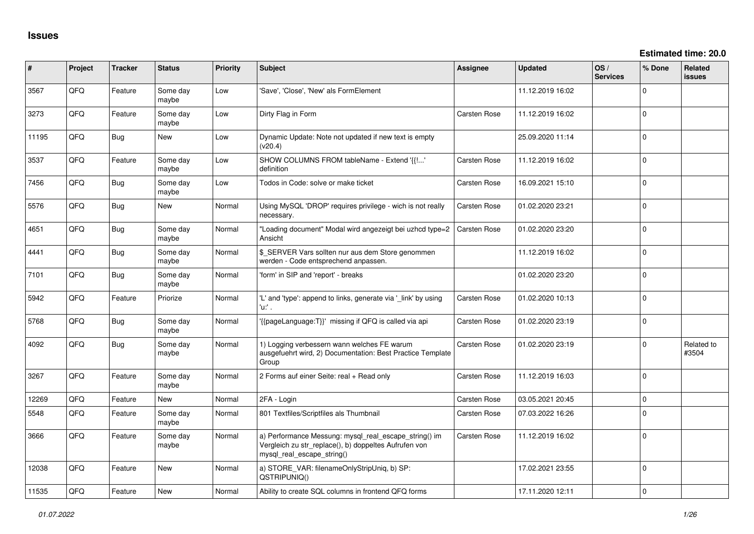| ∦     | Project | <b>Tracker</b> | <b>Status</b>     | Priority | Subject                                                                                                                                      | Assignee            | <b>Updated</b>   | OS/<br><b>Services</b> | % Done       | <b>Related</b><br><b>issues</b> |
|-------|---------|----------------|-------------------|----------|----------------------------------------------------------------------------------------------------------------------------------------------|---------------------|------------------|------------------------|--------------|---------------------------------|
| 3567  | QFQ     | Feature        | Some day<br>maybe | Low      | 'Save', 'Close', 'New' als FormElement                                                                                                       |                     | 11.12.2019 16:02 |                        | 0            |                                 |
| 3273  | QFQ     | Feature        | Some day<br>maybe | Low      | Dirty Flag in Form                                                                                                                           | Carsten Rose        | 11.12.2019 16:02 |                        | $\Omega$     |                                 |
| 11195 | QFQ     | <b>Bug</b>     | New               | Low      | Dynamic Update: Note not updated if new text is empty<br>(v20.4)                                                                             |                     | 25.09.2020 11:14 |                        | $\Omega$     |                                 |
| 3537  | QFQ     | Feature        | Some day<br>maybe | Low      | SHOW COLUMNS FROM tableName - Extend '{{!'<br>definition                                                                                     | Carsten Rose        | 11.12.2019 16:02 |                        | $\mathbf 0$  |                                 |
| 7456  | QFQ     | <b>Bug</b>     | Some day<br>maybe | Low      | Todos in Code: solve or make ticket                                                                                                          | Carsten Rose        | 16.09.2021 15:10 |                        | $\Omega$     |                                 |
| 5576  | QFQ     | Bug            | <b>New</b>        | Normal   | Using MySQL 'DROP' requires privilege - wich is not really<br>necessary.                                                                     | <b>Carsten Rose</b> | 01.02.2020 23:21 |                        | $\Omega$     |                                 |
| 4651  | QFQ     | <b>Bug</b>     | Some day<br>maybe | Normal   | "Loading document" Modal wird angezeigt bei uzhcd type=2<br>Ansicht                                                                          | <b>Carsten Rose</b> | 01.02.2020 23:20 |                        | $\mathbf 0$  |                                 |
| 4441  | QFQ     | <b>Bug</b>     | Some day<br>maybe | Normal   | \$ SERVER Vars sollten nur aus dem Store genommen<br>werden - Code entsprechend anpassen.                                                    |                     | 11.12.2019 16:02 |                        | $\mathbf 0$  |                                 |
| 7101  | QFQ     | <b>Bug</b>     | Some day<br>maybe | Normal   | 'form' in SIP and 'report' - breaks                                                                                                          |                     | 01.02.2020 23:20 |                        | $\mathbf{0}$ |                                 |
| 5942  | QFQ     | Feature        | Priorize          | Normal   | 'L' and 'type': append to links, generate via '_link' by using<br>'u:' .                                                                     | Carsten Rose        | 01.02.2020 10:13 |                        | $\Omega$     |                                 |
| 5768  | QFQ     | Bug            | Some day<br>maybe | Normal   | '{{pageLanguage:T}}' missing if QFQ is called via api                                                                                        | Carsten Rose        | 01.02.2020 23:19 |                        | $\Omega$     |                                 |
| 4092  | QFQ     | <b>Bug</b>     | Some day<br>maybe | Normal   | 1) Logging verbessern wann welches FE warum<br>ausgefuehrt wird, 2) Documentation: Best Practice Template<br>Group                           | Carsten Rose        | 01.02.2020 23:19 |                        | 0            | Related to<br>#3504             |
| 3267  | QFQ     | Feature        | Some day<br>maybe | Normal   | 2 Forms auf einer Seite: real + Read only                                                                                                    | Carsten Rose        | 11.12.2019 16:03 |                        | $\mathbf 0$  |                                 |
| 12269 | QFQ     | Feature        | <b>New</b>        | Normal   | 2FA - Login                                                                                                                                  | Carsten Rose        | 03.05.2021 20:45 |                        | $\mathbf 0$  |                                 |
| 5548  | QFQ     | Feature        | Some day<br>maybe | Normal   | 801 Textfiles/Scriptfiles als Thumbnail                                                                                                      | Carsten Rose        | 07.03.2022 16:26 |                        | $\mathbf 0$  |                                 |
| 3666  | QFQ     | Feature        | Some day<br>maybe | Normal   | a) Performance Messung: mysql_real_escape_string() im<br>Vergleich zu str_replace(), b) doppeltes Aufrufen von<br>mysql real escape string() | Carsten Rose        | 11.12.2019 16:02 |                        | $\mathbf 0$  |                                 |
| 12038 | QFQ     | Feature        | New               | Normal   | a) STORE_VAR: filenameOnlyStripUniq, b) SP:<br>QSTRIPUNIQ()                                                                                  |                     | 17.02.2021 23:55 |                        | $\mathbf 0$  |                                 |
| 11535 | QFQ     | Feature        | <b>New</b>        | Normal   | Ability to create SQL columns in frontend QFQ forms                                                                                          |                     | 17.11.2020 12:11 |                        | $\mathbf 0$  |                                 |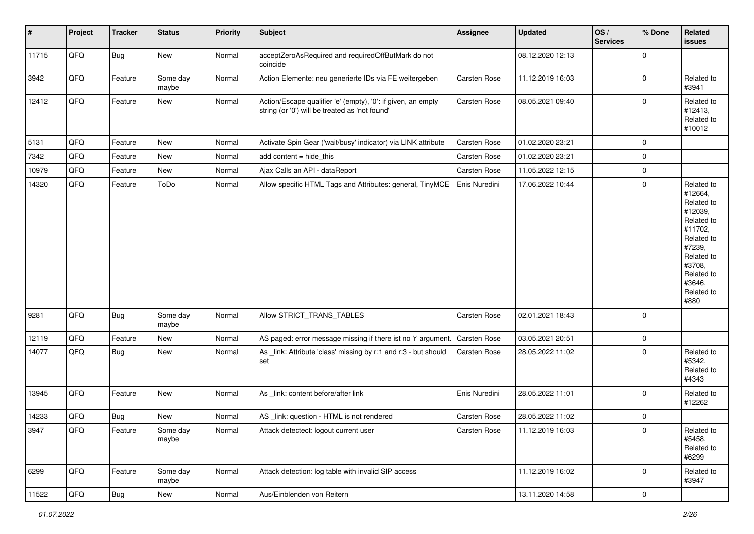| $\vert$ # | Project | <b>Tracker</b> | <b>Status</b>     | <b>Priority</b> | Subject                                                                                                        | Assignee            | Updated          | OS/<br><b>Services</b> | % Done         | Related<br><b>issues</b>                                                                                                                                              |
|-----------|---------|----------------|-------------------|-----------------|----------------------------------------------------------------------------------------------------------------|---------------------|------------------|------------------------|----------------|-----------------------------------------------------------------------------------------------------------------------------------------------------------------------|
| 11715     | QFQ     | <b>Bug</b>     | New               | Normal          | acceptZeroAsRequired and requiredOffButMark do not<br>coincide                                                 |                     | 08.12.2020 12:13 |                        | 0              |                                                                                                                                                                       |
| 3942      | QFQ     | Feature        | Some day<br>maybe | Normal          | Action Elemente: neu generierte IDs via FE weitergeben                                                         | Carsten Rose        | 11.12.2019 16:03 |                        | 0              | Related to<br>#3941                                                                                                                                                   |
| 12412     | QFQ     | Feature        | New               | Normal          | Action/Escape qualifier 'e' (empty), '0': if given, an empty<br>string (or '0') will be treated as 'not found' | Carsten Rose        | 08.05.2021 09:40 |                        | $\mathbf 0$    | Related to<br>#12413,<br>Related to<br>#10012                                                                                                                         |
| 5131      | QFQ     | Feature        | New               | Normal          | Activate Spin Gear ('wait/busy' indicator) via LINK attribute                                                  | Carsten Rose        | 01.02.2020 23:21 |                        | 0              |                                                                                                                                                                       |
| 7342      | QFQ     | Feature        | New               | Normal          | add content = hide_this                                                                                        | Carsten Rose        | 01.02.2020 23:21 |                        | 0              |                                                                                                                                                                       |
| 10979     | QFQ     | Feature        | New               | Normal          | Ajax Calls an API - dataReport                                                                                 | Carsten Rose        | 11.05.2022 12:15 |                        | 0              |                                                                                                                                                                       |
| 14320     | QFQ     | Feature        | ToDo              | Normal          | Allow specific HTML Tags and Attributes: general, TinyMCE                                                      | Enis Nuredini       | 17.06.2022 10:44 |                        | $\pmb{0}$      | Related to<br>#12664,<br>Related to<br>#12039,<br>Related to<br>#11702,<br>Related to<br>#7239,<br>Related to<br>#3708,<br>Related to<br>#3646,<br>Related to<br>#880 |
| 9281      | QFQ     | <b>Bug</b>     | Some day<br>maybe | Normal          | Allow STRICT_TRANS_TABLES                                                                                      | Carsten Rose        | 02.01.2021 18:43 |                        | 0              |                                                                                                                                                                       |
| 12119     | QFQ     | Feature        | New               | Normal          | AS paged: error message missing if there ist no 'r' argument.                                                  | <b>Carsten Rose</b> | 03.05.2021 20:51 |                        | 0              |                                                                                                                                                                       |
| 14077     | QFQ     | <b>Bug</b>     | New               | Normal          | As _link: Attribute 'class' missing by r:1 and r:3 - but should<br>set                                         | Carsten Rose        | 28.05.2022 11:02 |                        | 0              | Related to<br>#5342,<br>Related to<br>#4343                                                                                                                           |
| 13945     | QFQ     | Feature        | New               | Normal          | As _link: content before/after link                                                                            | Enis Nuredini       | 28.05.2022 11:01 |                        | 0              | Related to<br>#12262                                                                                                                                                  |
| 14233     | QFQ     | <b>Bug</b>     | New               | Normal          | AS _link: question - HTML is not rendered                                                                      | Carsten Rose        | 28.05.2022 11:02 |                        | 0              |                                                                                                                                                                       |
| 3947      | QFQ     | Feature        | Some day<br>maybe | Normal          | Attack detectect: logout current user                                                                          | Carsten Rose        | 11.12.2019 16:03 |                        | 0              | Related to<br>#5458,<br>Related to<br>#6299                                                                                                                           |
| 6299      | QFQ     | Feature        | Some day<br>maybe | Normal          | Attack detection: log table with invalid SIP access                                                            |                     | 11.12.2019 16:02 |                        | 0              | Related to<br>#3947                                                                                                                                                   |
| 11522     | QFQ     | <b>Bug</b>     | New               | Normal          | Aus/Einblenden von Reitern                                                                                     |                     | 13.11.2020 14:58 |                        | $\overline{0}$ |                                                                                                                                                                       |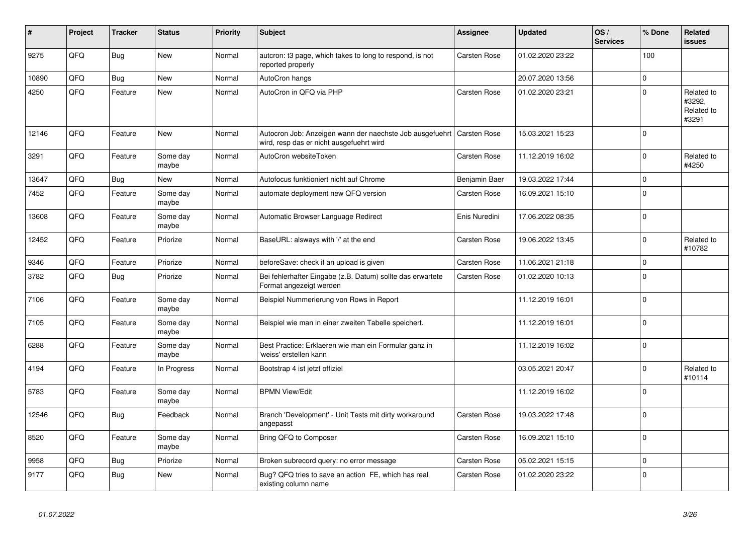| #     | Project | <b>Tracker</b> | <b>Status</b>     | <b>Priority</b> | <b>Subject</b>                                                                                                      | <b>Assignee</b>     | <b>Updated</b>   | OS/<br><b>Services</b> | % Done         | Related<br><b>issues</b>                    |
|-------|---------|----------------|-------------------|-----------------|---------------------------------------------------------------------------------------------------------------------|---------------------|------------------|------------------------|----------------|---------------------------------------------|
| 9275  | QFQ     | Bug            | New               | Normal          | auteron: t3 page, which takes to long to respond, is not<br>reported properly                                       | <b>Carsten Rose</b> | 01.02.2020 23:22 |                        | 100            |                                             |
| 10890 | QFQ     | <b>Bug</b>     | New               | Normal          | AutoCron hangs                                                                                                      |                     | 20.07.2020 13:56 |                        | $\Omega$       |                                             |
| 4250  | QFQ     | Feature        | New               | Normal          | AutoCron in QFQ via PHP                                                                                             | Carsten Rose        | 01.02.2020 23:21 |                        | $\Omega$       | Related to<br>#3292,<br>Related to<br>#3291 |
| 12146 | QFQ     | Feature        | <b>New</b>        | Normal          | Autocron Job: Anzeigen wann der naechste Job ausgefuehrt   Carsten Rose<br>wird, resp das er nicht ausgefuehrt wird |                     | 15.03.2021 15:23 |                        | $\Omega$       |                                             |
| 3291  | QFQ     | Feature        | Some day<br>maybe | Normal          | AutoCron websiteToken                                                                                               | Carsten Rose        | 11.12.2019 16:02 |                        | $\Omega$       | Related to<br>#4250                         |
| 13647 | QFQ     | <b>Bug</b>     | New               | Normal          | Autofocus funktioniert nicht auf Chrome                                                                             | Benjamin Baer       | 19.03.2022 17:44 |                        | $\mathbf 0$    |                                             |
| 7452  | QFQ     | Feature        | Some day<br>maybe | Normal          | automate deployment new QFQ version                                                                                 | Carsten Rose        | 16.09.2021 15:10 |                        | $\Omega$       |                                             |
| 13608 | QFQ     | Feature        | Some day<br>maybe | Normal          | Automatic Browser Language Redirect                                                                                 | Enis Nuredini       | 17.06.2022 08:35 |                        | $\Omega$       |                                             |
| 12452 | QFQ     | Feature        | Priorize          | Normal          | BaseURL: alsways with '/' at the end                                                                                | Carsten Rose        | 19.06.2022 13:45 |                        | $\Omega$       | Related to<br>#10782                        |
| 9346  | QFQ     | Feature        | Priorize          | Normal          | beforeSave: check if an upload is given                                                                             | <b>Carsten Rose</b> | 11.06.2021 21:18 |                        | $\mathbf 0$    |                                             |
| 3782  | QFQ     | <b>Bug</b>     | Priorize          | Normal          | Bei fehlerhafter Eingabe (z.B. Datum) sollte das erwartete<br>Format angezeigt werden                               | <b>Carsten Rose</b> | 01.02.2020 10:13 |                        | $\overline{0}$ |                                             |
| 7106  | QFQ     | Feature        | Some day<br>maybe | Normal          | Beispiel Nummerierung von Rows in Report                                                                            |                     | 11.12.2019 16:01 |                        | $\Omega$       |                                             |
| 7105  | QFQ     | Feature        | Some day<br>maybe | Normal          | Beispiel wie man in einer zweiten Tabelle speichert.                                                                |                     | 11.12.2019 16:01 |                        | $\Omega$       |                                             |
| 6288  | QFQ     | Feature        | Some day<br>maybe | Normal          | Best Practice: Erklaeren wie man ein Formular ganz in<br>weiss' erstellen kann                                      |                     | 11.12.2019 16:02 |                        | 0              |                                             |
| 4194  | QFQ     | Feature        | In Progress       | Normal          | Bootstrap 4 ist jetzt offiziel                                                                                      |                     | 03.05.2021 20:47 |                        | $\Omega$       | Related to<br>#10114                        |
| 5783  | QFQ     | Feature        | Some day<br>maybe | Normal          | <b>BPMN View/Edit</b>                                                                                               |                     | 11.12.2019 16:02 |                        | $\Omega$       |                                             |
| 12546 | QFQ     | <b>Bug</b>     | Feedback          | Normal          | Branch 'Development' - Unit Tests mit dirty workaround<br>angepasst                                                 | <b>Carsten Rose</b> | 19.03.2022 17:48 |                        | $\Omega$       |                                             |
| 8520  | QFQ     | Feature        | Some day<br>maybe | Normal          | Bring QFQ to Composer                                                                                               | <b>Carsten Rose</b> | 16.09.2021 15:10 |                        | $\Omega$       |                                             |
| 9958  | QFQ     | <b>Bug</b>     | Priorize          | Normal          | Broken subrecord query: no error message                                                                            | <b>Carsten Rose</b> | 05.02.2021 15:15 |                        | $\mathbf 0$    |                                             |
| 9177  | QFQ     | <b>Bug</b>     | <b>New</b>        | Normal          | Bug? QFQ tries to save an action FE, which has real<br>existing column name                                         | <b>Carsten Rose</b> | 01.02.2020 23:22 |                        | $\Omega$       |                                             |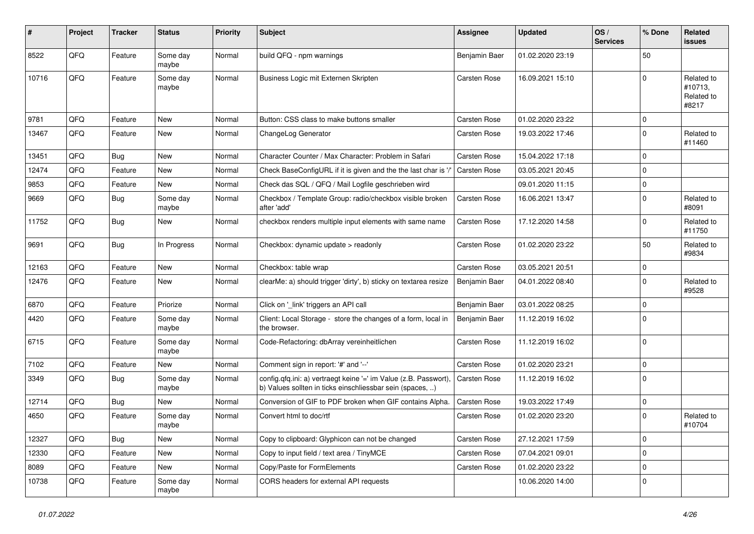| ∦     | <b>Project</b> | <b>Tracker</b> | <b>Status</b>     | <b>Priority</b> | <b>Subject</b>                                                                                                                | Assignee            | <b>Updated</b>   | OS/<br><b>Services</b> | % Done      | Related<br><b>issues</b>                     |
|-------|----------------|----------------|-------------------|-----------------|-------------------------------------------------------------------------------------------------------------------------------|---------------------|------------------|------------------------|-------------|----------------------------------------------|
| 8522  | QFQ            | Feature        | Some day<br>maybe | Normal          | build QFQ - npm warnings                                                                                                      | Benjamin Baer       | 01.02.2020 23:19 |                        | 50          |                                              |
| 10716 | QFQ            | Feature        | Some day<br>maybe | Normal          | Business Logic mit Externen Skripten                                                                                          | Carsten Rose        | 16.09.2021 15:10 |                        | $\Omega$    | Related to<br>#10713,<br>Related to<br>#8217 |
| 9781  | QFQ            | Feature        | <b>New</b>        | Normal          | Button: CSS class to make buttons smaller                                                                                     | Carsten Rose        | 01.02.2020 23:22 |                        | $\Omega$    |                                              |
| 13467 | QFQ            | Feature        | <b>New</b>        | Normal          | ChangeLog Generator                                                                                                           | Carsten Rose        | 19.03.2022 17:46 |                        | $\Omega$    | Related to<br>#11460                         |
| 13451 | QFQ            | Bug            | <b>New</b>        | Normal          | Character Counter / Max Character: Problem in Safari                                                                          | <b>Carsten Rose</b> | 15.04.2022 17:18 |                        | 0           |                                              |
| 12474 | QFQ            | Feature        | <b>New</b>        | Normal          | Check BaseConfigURL if it is given and the the last char is '/                                                                | Carsten Rose        | 03.05.2021 20:45 |                        | $\mathbf 0$ |                                              |
| 9853  | QFQ            | Feature        | <b>New</b>        | Normal          | Check das SQL / QFQ / Mail Logfile geschrieben wird                                                                           |                     | 09.01.2020 11:15 |                        | $\mathbf 0$ |                                              |
| 9669  | QFQ            | <b>Bug</b>     | Some day<br>maybe | Normal          | Checkbox / Template Group: radio/checkbox visible broken<br>after 'add'                                                       | <b>Carsten Rose</b> | 16.06.2021 13:47 |                        | $\mathbf 0$ | Related to<br>#8091                          |
| 11752 | QFQ            | <b>Bug</b>     | New               | Normal          | checkbox renders multiple input elements with same name                                                                       | Carsten Rose        | 17.12.2020 14:58 |                        | $\Omega$    | Related to<br>#11750                         |
| 9691  | QFQ            | Bug            | In Progress       | Normal          | Checkbox: dynamic update > readonly                                                                                           | Carsten Rose        | 01.02.2020 23:22 |                        | 50          | Related to<br>#9834                          |
| 12163 | QFQ            | Feature        | <b>New</b>        | Normal          | Checkbox: table wrap                                                                                                          | Carsten Rose        | 03.05.2021 20:51 |                        | $\mathbf 0$ |                                              |
| 12476 | QFQ            | Feature        | <b>New</b>        | Normal          | clearMe: a) should trigger 'dirty', b) sticky on textarea resize                                                              | Benjamin Baer       | 04.01.2022 08:40 |                        | $\Omega$    | Related to<br>#9528                          |
| 6870  | QFQ            | Feature        | Priorize          | Normal          | Click on '_link' triggers an API call                                                                                         | Benjamin Baer       | 03.01.2022 08:25 |                        | $\mathbf 0$ |                                              |
| 4420  | QFQ            | Feature        | Some day<br>maybe | Normal          | Client: Local Storage - store the changes of a form, local in<br>the browser.                                                 | Benjamin Baer       | 11.12.2019 16:02 |                        | $\Omega$    |                                              |
| 6715  | QFQ            | Feature        | Some day<br>maybe | Normal          | Code-Refactoring: dbArray vereinheitlichen                                                                                    | Carsten Rose        | 11.12.2019 16:02 |                        | $\Omega$    |                                              |
| 7102  | QFQ            | Feature        | <b>New</b>        | Normal          | Comment sign in report: '#' and '--'                                                                                          | Carsten Rose        | 01.02.2020 23:21 |                        | $\Omega$    |                                              |
| 3349  | QFQ            | Bug            | Some day<br>maybe | Normal          | config.qfq.ini: a) vertraegt keine '=' im Value (z.B. Passwort),<br>b) Values sollten in ticks einschliessbar sein (spaces, ) | Carsten Rose        | 11.12.2019 16:02 |                        | $\Omega$    |                                              |
| 12714 | QFQ            | Bug            | <b>New</b>        | Normal          | Conversion of GIF to PDF broken when GIF contains Alpha.                                                                      | Carsten Rose        | 19.03.2022 17:49 |                        | $\mathbf 0$ |                                              |
| 4650  | QFQ            | Feature        | Some day<br>maybe | Normal          | Convert html to doc/rtf                                                                                                       | Carsten Rose        | 01.02.2020 23:20 |                        | $\Omega$    | Related to<br>#10704                         |
| 12327 | QFQ            | Bug            | <b>New</b>        | Normal          | Copy to clipboard: Glyphicon can not be changed                                                                               | Carsten Rose        | 27.12.2021 17:59 |                        | $\mathbf 0$ |                                              |
| 12330 | QFQ            | Feature        | <b>New</b>        | Normal          | Copy to input field / text area / TinyMCE                                                                                     | Carsten Rose        | 07.04.2021 09:01 |                        | $\mathbf 0$ |                                              |
| 8089  | QFQ            | Feature        | <b>New</b>        | Normal          | Copy/Paste for FormElements                                                                                                   | <b>Carsten Rose</b> | 01.02.2020 23:22 |                        | $\mathbf 0$ |                                              |
| 10738 | QFQ            | Feature        | Some day<br>maybe | Normal          | CORS headers for external API requests                                                                                        |                     | 10.06.2020 14:00 |                        | 0 l         |                                              |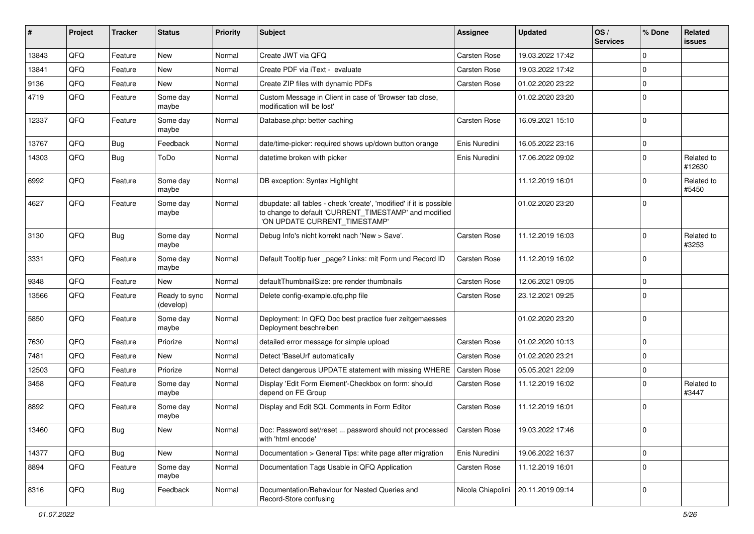| #     | Project | <b>Tracker</b> | <b>Status</b>              | <b>Priority</b> | <b>Subject</b>                                                                                                                                                | Assignee            | <b>Updated</b>                       | OS/<br><b>Services</b> | % Done       | Related<br>issues    |
|-------|---------|----------------|----------------------------|-----------------|---------------------------------------------------------------------------------------------------------------------------------------------------------------|---------------------|--------------------------------------|------------------------|--------------|----------------------|
| 13843 | QFQ     | Feature        | <b>New</b>                 | Normal          | Create JWT via QFQ                                                                                                                                            | Carsten Rose        | 19.03.2022 17:42                     |                        | $\Omega$     |                      |
| 13841 | QFQ     | Feature        | <b>New</b>                 | Normal          | Create PDF via iText - evaluate                                                                                                                               | Carsten Rose        | 19.03.2022 17:42                     |                        | $\Omega$     |                      |
| 9136  | QFQ     | Feature        | New                        | Normal          | Create ZIP files with dynamic PDFs                                                                                                                            | Carsten Rose        | 01.02.2020 23:22                     |                        | $\mathbf 0$  |                      |
| 4719  | QFQ     | Feature        | Some day<br>maybe          | Normal          | Custom Message in Client in case of 'Browser tab close,<br>modification will be lost'                                                                         |                     | 01.02.2020 23:20                     |                        | $\Omega$     |                      |
| 12337 | QFQ     | Feature        | Some day<br>maybe          | Normal          | Database.php: better caching                                                                                                                                  | Carsten Rose        | 16.09.2021 15:10                     |                        | $\mathbf 0$  |                      |
| 13767 | QFQ     | Bug            | Feedback                   | Normal          | date/time-picker: required shows up/down button orange                                                                                                        | Enis Nuredini       | 16.05.2022 23:16                     |                        | $\mathbf 0$  |                      |
| 14303 | QFQ     | <b>Bug</b>     | ToDo                       | Normal          | datetime broken with picker                                                                                                                                   | Enis Nuredini       | 17.06.2022 09:02                     |                        | $\Omega$     | Related to<br>#12630 |
| 6992  | QFQ     | Feature        | Some day<br>maybe          | Normal          | DB exception: Syntax Highlight                                                                                                                                |                     | 11.12.2019 16:01                     |                        | $\Omega$     | Related to<br>#5450  |
| 4627  | QFQ     | Feature        | Some day<br>maybe          | Normal          | dbupdate: all tables - check 'create', 'modified' if it is possible<br>to change to default 'CURRENT_TIMESTAMP' and modified<br>'ON UPDATE CURRENT TIMESTAMP' |                     | 01.02.2020 23:20                     |                        | $\Omega$     |                      |
| 3130  | QFQ     | <b>Bug</b>     | Some day<br>maybe          | Normal          | Debug Info's nicht korrekt nach 'New > Save'.                                                                                                                 | Carsten Rose        | 11.12.2019 16:03                     |                        | $\Omega$     | Related to<br>#3253  |
| 3331  | QFQ     | Feature        | Some day<br>maybe          | Normal          | Default Tooltip fuer _page? Links: mit Form und Record ID                                                                                                     | Carsten Rose        | 11.12.2019 16:02                     |                        | $\Omega$     |                      |
| 9348  | QFQ     | Feature        | <b>New</b>                 | Normal          | defaultThumbnailSize: pre render thumbnails                                                                                                                   | Carsten Rose        | 12.06.2021 09:05                     |                        | $\mathbf 0$  |                      |
| 13566 | QFQ     | Feature        | Ready to sync<br>(develop) | Normal          | Delete config-example.gfg.php file                                                                                                                            | Carsten Rose        | 23.12.2021 09:25                     |                        | $\Omega$     |                      |
| 5850  | QFQ     | Feature        | Some day<br>maybe          | Normal          | Deployment: In QFQ Doc best practice fuer zeitgemaesses<br>Deployment beschreiben                                                                             |                     | 01.02.2020 23:20                     |                        | $\mathbf{0}$ |                      |
| 7630  | QFQ     | Feature        | Priorize                   | Normal          | detailed error message for simple upload                                                                                                                      | Carsten Rose        | 01.02.2020 10:13                     |                        | $\mathbf 0$  |                      |
| 7481  | QFQ     | Feature        | <b>New</b>                 | Normal          | Detect 'BaseUrl' automatically                                                                                                                                | Carsten Rose        | 01.02.2020 23:21                     |                        | $\mathbf 0$  |                      |
| 12503 | QFQ     | Feature        | Priorize                   | Normal          | Detect dangerous UPDATE statement with missing WHERE                                                                                                          | <b>Carsten Rose</b> | 05.05.2021 22:09                     |                        | $\mathbf 0$  |                      |
| 3458  | QFQ     | Feature        | Some day<br>maybe          | Normal          | Display 'Edit Form Element'-Checkbox on form: should<br>depend on FE Group                                                                                    | Carsten Rose        | 11.12.2019 16:02                     |                        | $\Omega$     | Related to<br>#3447  |
| 8892  | QFQ     | Feature        | Some day<br>maybe          | Normal          | Display and Edit SQL Comments in Form Editor                                                                                                                  | Carsten Rose        | 11.12.2019 16:01                     |                        | $\Omega$     |                      |
| 13460 | QFQ     | <b>Bug</b>     | New                        | Normal          | Doc: Password set/reset  password should not processed<br>with 'html encode'                                                                                  | Carsten Rose        | 19.03.2022 17:46                     |                        | 0            |                      |
| 14377 | QFQ     | <b>Bug</b>     | New                        | Normal          | Documentation > General Tips: white page after migration                                                                                                      | Enis Nuredini       | 19.06.2022 16:37                     |                        | $\mathbf 0$  |                      |
| 8894  | QFQ     | Feature        | Some day<br>maybe          | Normal          | Documentation Tags Usable in QFQ Application                                                                                                                  | Carsten Rose        | 11.12.2019 16:01                     |                        | $\Omega$     |                      |
| 8316  | QFQ     | <b>Bug</b>     | Feedback                   | Normal          | Documentation/Behaviour for Nested Queries and<br>Record-Store confusing                                                                                      |                     | Nicola Chiapolini   20.11.2019 09:14 |                        | 0            |                      |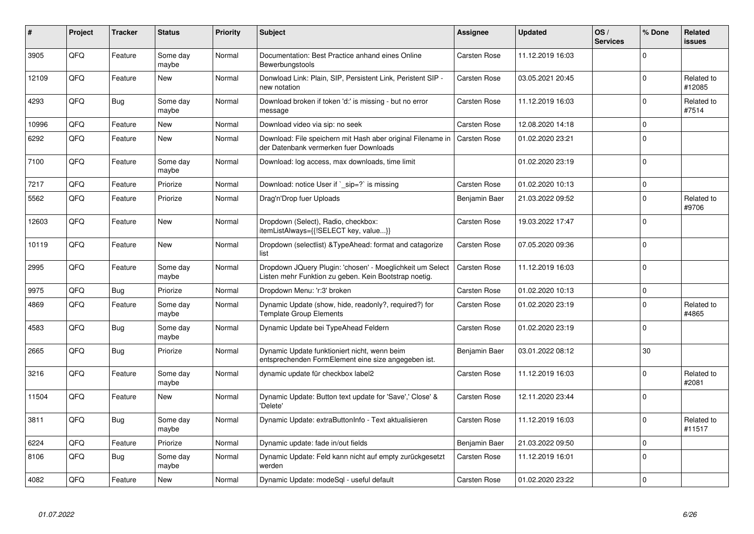| #     | Project | <b>Tracker</b> | <b>Status</b>     | <b>Priority</b> | <b>Subject</b>                                                                                                     | Assignee            | <b>Updated</b>   | OS/<br><b>Services</b> | % Done      | Related<br><b>issues</b> |
|-------|---------|----------------|-------------------|-----------------|--------------------------------------------------------------------------------------------------------------------|---------------------|------------------|------------------------|-------------|--------------------------|
| 3905  | QFQ     | Feature        | Some day<br>maybe | Normal          | Documentation: Best Practice anhand eines Online<br>Bewerbungstools                                                | <b>Carsten Rose</b> | 11.12.2019 16:03 |                        | $\Omega$    |                          |
| 12109 | QFQ     | Feature        | <b>New</b>        | Normal          | Donwload Link: Plain, SIP, Persistent Link, Peristent SIP -<br>new notation                                        | Carsten Rose        | 03.05.2021 20:45 |                        | $\Omega$    | Related to<br>#12085     |
| 4293  | QFQ     | <b>Bug</b>     | Some day<br>maybe | Normal          | Download broken if token 'd:' is missing - but no error<br>message                                                 | <b>Carsten Rose</b> | 11.12.2019 16:03 |                        | $\Omega$    | Related to<br>#7514      |
| 10996 | QFQ     | Feature        | <b>New</b>        | Normal          | Download video via sip: no seek                                                                                    | <b>Carsten Rose</b> | 12.08.2020 14:18 |                        | $\Omega$    |                          |
| 6292  | QFQ     | Feature        | <b>New</b>        | Normal          | Download: File speichern mit Hash aber original Filename in<br>der Datenbank vermerken fuer Downloads              | Carsten Rose        | 01.02.2020 23:21 |                        | $\Omega$    |                          |
| 7100  | QFQ     | Feature        | Some day<br>maybe | Normal          | Download: log access, max downloads, time limit                                                                    |                     | 01.02.2020 23:19 |                        | $\Omega$    |                          |
| 7217  | QFQ     | Feature        | Priorize          | Normal          | Download: notice User if `_sip=?` is missing                                                                       | Carsten Rose        | 01.02.2020 10:13 |                        | $\Omega$    |                          |
| 5562  | QFQ     | Feature        | Priorize          | Normal          | Drag'n'Drop fuer Uploads                                                                                           | Benjamin Baer       | 21.03.2022 09:52 |                        | $\Omega$    | Related to<br>#9706      |
| 12603 | QFQ     | Feature        | <b>New</b>        | Normal          | Dropdown (Select), Radio, checkbox:<br>itemListAlways={{!SELECT key, value}}                                       | Carsten Rose        | 19.03.2022 17:47 |                        | $\Omega$    |                          |
| 10119 | QFQ     | Feature        | <b>New</b>        | Normal          | Dropdown (selectlist) & TypeAhead: format and catagorize<br>list                                                   | Carsten Rose        | 07.05.2020 09:36 |                        | $\Omega$    |                          |
| 2995  | QFQ     | Feature        | Some day<br>maybe | Normal          | Dropdown JQuery Plugin: 'chosen' - Moeglichkeit um Select<br>Listen mehr Funktion zu geben. Kein Bootstrap noetig. | <b>Carsten Rose</b> | 11.12.2019 16:03 |                        | $\Omega$    |                          |
| 9975  | QFQ     | <b>Bug</b>     | Priorize          | Normal          | Dropdown Menu: 'r:3' broken                                                                                        | Carsten Rose        | 01.02.2020 10:13 |                        | $\mathbf 0$ |                          |
| 4869  | QFQ     | Feature        | Some day<br>maybe | Normal          | Dynamic Update (show, hide, readonly?, required?) for<br><b>Template Group Elements</b>                            | Carsten Rose        | 01.02.2020 23:19 |                        | $\Omega$    | Related to<br>#4865      |
| 4583  | QFQ     | <b>Bug</b>     | Some day<br>maybe | Normal          | Dynamic Update bei TypeAhead Feldern                                                                               | Carsten Rose        | 01.02.2020 23:19 |                        | $\Omega$    |                          |
| 2665  | QFQ     | <b>Bug</b>     | Priorize          | Normal          | Dynamic Update funktioniert nicht, wenn beim<br>entsprechenden FormElement eine size angegeben ist.                | Benjamin Baer       | 03.01.2022 08:12 |                        | 30          |                          |
| 3216  | QFQ     | Feature        | Some day<br>maybe | Normal          | dynamic update für checkbox label2                                                                                 | <b>Carsten Rose</b> | 11.12.2019 16:03 |                        | 0           | Related to<br>#2081      |
| 11504 | QFQ     | Feature        | New               | Normal          | Dynamic Update: Button text update for 'Save',' Close' &<br>'Delete'                                               | <b>Carsten Rose</b> | 12.11.2020 23:44 |                        | $\Omega$    |                          |
| 3811  | QFQ     | Bug            | Some day<br>maybe | Normal          | Dynamic Update: extraButtonInfo - Text aktualisieren                                                               | <b>Carsten Rose</b> | 11.12.2019 16:03 |                        | $\Omega$    | Related to<br>#11517     |
| 6224  | QFQ     | Feature        | Priorize          | Normal          | Dynamic update: fade in/out fields                                                                                 | Benjamin Baer       | 21.03.2022 09:50 |                        | $\Omega$    |                          |
| 8106  | QFQ     | Bug            | Some day<br>maybe | Normal          | Dynamic Update: Feld kann nicht auf empty zurückgesetzt<br>werden                                                  | <b>Carsten Rose</b> | 11.12.2019 16:01 |                        | $\Omega$    |                          |
| 4082  | QFQ     | Feature        | New               | Normal          | Dynamic Update: modeSql - useful default                                                                           | Carsten Rose        | 01.02.2020 23:22 |                        | $\Omega$    |                          |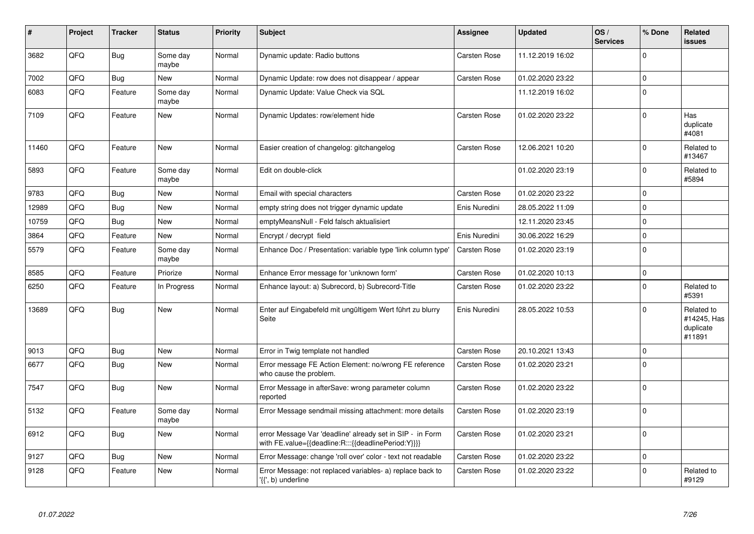| ∦     | Project    | <b>Tracker</b> | <b>Status</b>     | <b>Priority</b> | <b>Subject</b>                                                                                                   | Assignee            | <b>Updated</b>   | OS/<br><b>Services</b> | % Done      | Related<br><b>issues</b>                         |
|-------|------------|----------------|-------------------|-----------------|------------------------------------------------------------------------------------------------------------------|---------------------|------------------|------------------------|-------------|--------------------------------------------------|
| 3682  | QFQ        | <b>Bug</b>     | Some day<br>maybe | Normal          | Dynamic update: Radio buttons                                                                                    | Carsten Rose        | 11.12.2019 16:02 |                        | $\Omega$    |                                                  |
| 7002  | <b>OFO</b> | <b>Bug</b>     | <b>New</b>        | Normal          | Dynamic Update: row does not disappear / appear                                                                  | <b>Carsten Rose</b> | 01.02.2020 23:22 |                        | $\Omega$    |                                                  |
| 6083  | QFQ        | Feature        | Some day<br>maybe | Normal          | Dynamic Update: Value Check via SQL                                                                              |                     | 11.12.2019 16:02 |                        | $\mathbf 0$ |                                                  |
| 7109  | QFQ        | Feature        | <b>New</b>        | Normal          | Dynamic Updates: row/element hide                                                                                | Carsten Rose        | 01.02.2020 23:22 |                        | $\mathbf 0$ | Has<br>duplicate<br>#4081                        |
| 11460 | QFQ        | Feature        | <b>New</b>        | Normal          | Easier creation of changelog: gitchangelog                                                                       | Carsten Rose        | 12.06.2021 10:20 |                        | $\mathbf 0$ | Related to<br>#13467                             |
| 5893  | QFQ        | Feature        | Some day<br>maybe | Normal          | Edit on double-click                                                                                             |                     | 01.02.2020 23:19 |                        | $\mathbf 0$ | Related to<br>#5894                              |
| 9783  | QFQ        | Bug            | New               | Normal          | Email with special characters                                                                                    | Carsten Rose        | 01.02.2020 23:22 |                        | $\mathbf 0$ |                                                  |
| 12989 | QFQ        | Bug            | <b>New</b>        | Normal          | empty string does not trigger dynamic update                                                                     | Enis Nuredini       | 28.05.2022 11:09 |                        | $\mathbf 0$ |                                                  |
| 10759 | QFQ        | Bug            | New               | Normal          | emptyMeansNull - Feld falsch aktualisiert                                                                        |                     | 12.11.2020 23:45 |                        | $\mathbf 0$ |                                                  |
| 3864  | QFQ        | Feature        | New               | Normal          | Encrypt / decrypt field                                                                                          | Enis Nuredini       | 30.06.2022 16:29 |                        | $\mathbf 0$ |                                                  |
| 5579  | QFQ        | Feature        | Some day<br>maybe | Normal          | Enhance Doc / Presentation: variable type 'link column type'                                                     | Carsten Rose        | 01.02.2020 23:19 |                        | $\mathbf 0$ |                                                  |
| 8585  | QFQ        | Feature        | Priorize          | Normal          | Enhance Error message for 'unknown form'                                                                         | Carsten Rose        | 01.02.2020 10:13 |                        | $\mathbf 0$ |                                                  |
| 6250  | QFQ        | Feature        | In Progress       | Normal          | Enhance layout: a) Subrecord, b) Subrecord-Title                                                                 | Carsten Rose        | 01.02.2020 23:22 |                        | $\mathbf 0$ | Related to<br>#5391                              |
| 13689 | QFQ        | <b>Bug</b>     | New               | Normal          | Enter auf Eingabefeld mit ungültigem Wert führt zu blurry<br>Seite                                               | Enis Nuredini       | 28.05.2022 10:53 |                        | $\mathbf 0$ | Related to<br>#14245, Has<br>duplicate<br>#11891 |
| 9013  | QFQ        | <b>Bug</b>     | <b>New</b>        | Normal          | Error in Twig template not handled                                                                               | <b>Carsten Rose</b> | 20.10.2021 13:43 |                        | $\mathbf 0$ |                                                  |
| 6677  | QFQ        | <b>Bug</b>     | New               | Normal          | Error message FE Action Element: no/wrong FE reference<br>who cause the problem.                                 | Carsten Rose        | 01.02.2020 23:21 |                        | $\mathbf 0$ |                                                  |
| 7547  | QFQ        | <b>Bug</b>     | New               | Normal          | Error Message in afterSave: wrong parameter column<br>reported                                                   | Carsten Rose        | 01.02.2020 23:22 |                        | $\Omega$    |                                                  |
| 5132  | QFQ        | Feature        | Some day<br>maybe | Normal          | Error Message sendmail missing attachment: more details                                                          | Carsten Rose        | 01.02.2020 23:19 |                        | $\mathbf 0$ |                                                  |
| 6912  | QFQ        | <b>Bug</b>     | <b>New</b>        | Normal          | error Message Var 'deadline' already set in SIP - in Form<br>with FE.value={{deadline:R:::{{deadlinePeriod:Y}}}} | Carsten Rose        | 01.02.2020 23:21 |                        | $\Omega$    |                                                  |
| 9127  | QFQ        | <b>Bug</b>     | <b>New</b>        | Normal          | Error Message: change 'roll over' color - text not readable                                                      | Carsten Rose        | 01.02.2020 23:22 |                        | $\mathbf 0$ |                                                  |
| 9128  | QFQ        | Feature        | <b>New</b>        | Normal          | Error Message: not replaced variables- a) replace back to<br>'{{', b) underline                                  | Carsten Rose        | 01.02.2020 23:22 |                        | $\mathbf 0$ | Related to<br>#9129                              |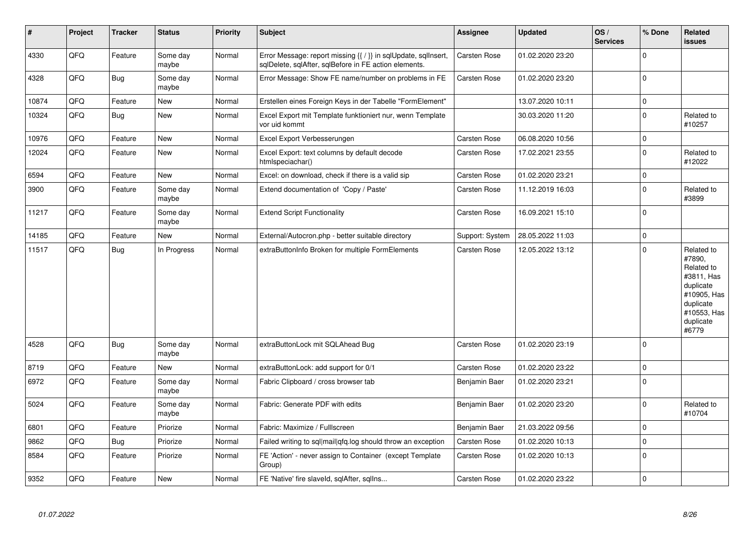| $\vert$ # | Project    | <b>Tracker</b> | <b>Status</b>     | <b>Priority</b> | <b>Subject</b>                                                                                                          | Assignee            | Updated          | OS/<br><b>Services</b> | % Done       | Related<br>issues                                                                                                              |
|-----------|------------|----------------|-------------------|-----------------|-------------------------------------------------------------------------------------------------------------------------|---------------------|------------------|------------------------|--------------|--------------------------------------------------------------------------------------------------------------------------------|
| 4330      | QFQ        | Feature        | Some day<br>maybe | Normal          | Error Message: report missing {{ / }} in sqlUpdate, sqlInsert,<br>sqlDelete, sqlAfter, sqlBefore in FE action elements. | Carsten Rose        | 01.02.2020 23:20 |                        | $\Omega$     |                                                                                                                                |
| 4328      | QFQ        | Bug            | Some day<br>maybe | Normal          | Error Message: Show FE name/number on problems in FE                                                                    | <b>Carsten Rose</b> | 01.02.2020 23:20 |                        | $\Omega$     |                                                                                                                                |
| 10874     | QFQ        | Feature        | New               | Normal          | Erstellen eines Foreign Keys in der Tabelle "FormElement"                                                               |                     | 13.07.2020 10:11 |                        | $\mathbf{0}$ |                                                                                                                                |
| 10324     | QFQ        | Bug            | New               | Normal          | Excel Export mit Template funktioniert nur, wenn Template<br>vor uid kommt                                              |                     | 30.03.2020 11:20 |                        | $\Omega$     | Related to<br>#10257                                                                                                           |
| 10976     | QFQ        | Feature        | <b>New</b>        | Normal          | Excel Export Verbesserungen                                                                                             | Carsten Rose        | 06.08.2020 10:56 |                        | $\mathbf 0$  |                                                                                                                                |
| 12024     | QFQ        | Feature        | <b>New</b>        | Normal          | Excel Export: text columns by default decode<br>htmlspeciachar()                                                        | <b>Carsten Rose</b> | 17.02.2021 23:55 |                        | $\Omega$     | Related to<br>#12022                                                                                                           |
| 6594      | QFQ        | Feature        | New               | Normal          | Excel: on download, check if there is a valid sip                                                                       | <b>Carsten Rose</b> | 01.02.2020 23:21 |                        | $\mathbf 0$  |                                                                                                                                |
| 3900      | QFQ        | Feature        | Some day<br>maybe | Normal          | Extend documentation of 'Copy / Paste'                                                                                  | <b>Carsten Rose</b> | 11.12.2019 16:03 |                        | $\Omega$     | Related to<br>#3899                                                                                                            |
| 11217     | QFQ        | Feature        | Some day<br>maybe | Normal          | <b>Extend Script Functionality</b>                                                                                      | Carsten Rose        | 16.09.2021 15:10 |                        | $\mathbf 0$  |                                                                                                                                |
| 14185     | QFQ        | Feature        | New               | Normal          | External/Autocron.php - better suitable directory                                                                       | Support: System     | 28.05.2022 11:03 |                        | $\mathbf 0$  |                                                                                                                                |
| 11517     | QFQ        | Bug            | In Progress       | Normal          | extraButtonInfo Broken for multiple FormElements                                                                        | <b>Carsten Rose</b> | 12.05.2022 13:12 |                        | $\Omega$     | Related to<br>#7890,<br>Related to<br>#3811, Has<br>duplicate<br>#10905, Has<br>duplicate<br>#10553, Has<br>duplicate<br>#6779 |
| 4528      | QFQ        | Bug            | Some day<br>maybe | Normal          | extraButtonLock mit SQLAhead Bug                                                                                        | <b>Carsten Rose</b> | 01.02.2020 23:19 |                        | $\mathbf 0$  |                                                                                                                                |
| 8719      | QFQ        | Feature        | New               | Normal          | extraButtonLock: add support for 0/1                                                                                    | Carsten Rose        | 01.02.2020 23:22 |                        | $\Omega$     |                                                                                                                                |
| 6972      | QFQ        | Feature        | Some day<br>maybe | Normal          | Fabric Clipboard / cross browser tab                                                                                    | Benjamin Baer       | 01.02.2020 23:21 |                        | $\Omega$     |                                                                                                                                |
| 5024      | <b>OFO</b> | Feature        | Some day<br>maybe | Normal          | Fabric: Generate PDF with edits                                                                                         | Benjamin Baer       | 01.02.2020 23:20 |                        | $\Omega$     | Related to<br>#10704                                                                                                           |
| 6801      | QFQ        | Feature        | Priorize          | Normal          | Fabric: Maximize / FullIscreen                                                                                          | Benjamin Baer       | 21.03.2022 09:56 |                        | $\Omega$     |                                                                                                                                |
| 9862      | QFQ        | Bug            | Priorize          | Normal          | Failed writing to sql mail qfq.log should throw an exception                                                            | Carsten Rose        | 01.02.2020 10:13 |                        | $\Omega$     |                                                                                                                                |
| 8584      | QFQ        | Feature        | Priorize          | Normal          | FE 'Action' - never assign to Container (except Template<br>Group)                                                      | <b>Carsten Rose</b> | 01.02.2020 10:13 |                        | $\Omega$     |                                                                                                                                |
| 9352      | QFQ        | Feature        | New               | Normal          | FE 'Native' fire slaveld, sqlAfter, sqllns                                                                              | Carsten Rose        | 01.02.2020 23:22 |                        | $\mathbf 0$  |                                                                                                                                |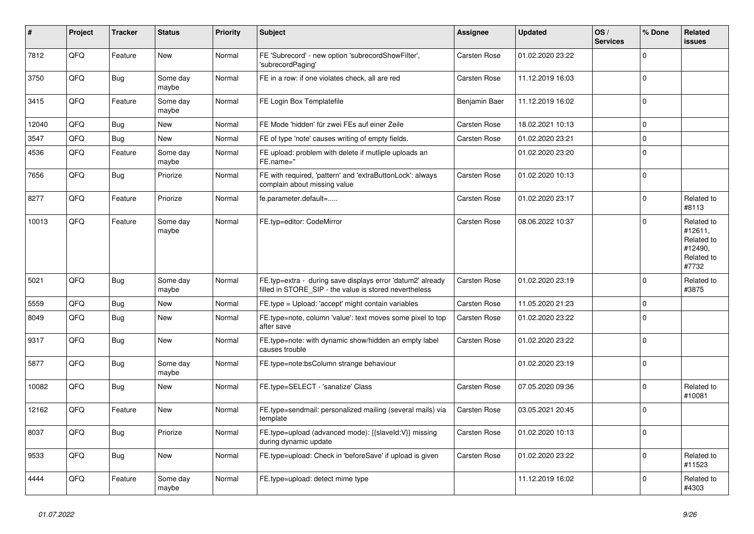| #     | Project | <b>Tracker</b> | <b>Status</b>     | <b>Priority</b> | <b>Subject</b>                                                                                                       | Assignee            | <b>Updated</b>   | OS/<br><b>Services</b> | % Done   | Related<br><b>issues</b>                                              |
|-------|---------|----------------|-------------------|-----------------|----------------------------------------------------------------------------------------------------------------------|---------------------|------------------|------------------------|----------|-----------------------------------------------------------------------|
| 7812  | QFQ     | Feature        | <b>New</b>        | Normal          | FE 'Subrecord' - new option 'subrecordShowFilter',<br>'subrecordPaging'                                              | Carsten Rose        | 01.02.2020 23:22 |                        | $\Omega$ |                                                                       |
| 3750  | QFQ     | Bug            | Some day<br>maybe | Normal          | FE in a row: if one violates check, all are red                                                                      | Carsten Rose        | 11.12.2019 16:03 |                        | $\Omega$ |                                                                       |
| 3415  | QFQ     | Feature        | Some day<br>maybe | Normal          | FE Login Box Templatefile                                                                                            | Benjamin Baer       | 11.12.2019 16:02 |                        | $\Omega$ |                                                                       |
| 12040 | QFQ     | <b>Bug</b>     | <b>New</b>        | Normal          | FE Mode 'hidden' für zwei FEs auf einer Zeile                                                                        | Carsten Rose        | 18.02.2021 10:13 |                        | $\Omega$ |                                                                       |
| 3547  | QFQ     | <b>Bug</b>     | <b>New</b>        | Normal          | FE of type 'note' causes writing of empty fields.                                                                    | <b>Carsten Rose</b> | 01.02.2020 23:21 |                        | $\Omega$ |                                                                       |
| 4536  | QFQ     | Feature        | Some day<br>maybe | Normal          | FE upload: problem with delete if mutliple uploads an<br>FE.name="                                                   |                     | 01.02.2020 23:20 |                        | $\Omega$ |                                                                       |
| 7656  | QFQ     | Bug            | Priorize          | Normal          | FE with required, 'pattern' and 'extraButtonLock': always<br>complain about missing value                            | <b>Carsten Rose</b> | 01.02.2020 10:13 |                        | $\Omega$ |                                                                       |
| 8277  | QFQ     | Feature        | Priorize          | Normal          | fe.parameter.default=                                                                                                | Carsten Rose        | 01.02.2020 23:17 |                        | $\Omega$ | Related to<br>#8113                                                   |
| 10013 | QFQ     | Feature        | Some day<br>maybe | Normal          | FE.typ=editor: CodeMirror                                                                                            | Carsten Rose        | 08.06.2022 10:37 |                        | $\Omega$ | Related to<br>#12611,<br>Related to<br>#12490,<br>Related to<br>#7732 |
| 5021  | QFQ     | <b>Bug</b>     | Some day<br>maybe | Normal          | FE.typ=extra - during save displays error 'datum2' already<br>filled in STORE_SIP - the value is stored nevertheless | Carsten Rose        | 01.02.2020 23:19 |                        | $\Omega$ | Related to<br>#3875                                                   |
| 5559  | QFQ     | Bug            | New               | Normal          | FE.type = Upload: 'accept' might contain variables                                                                   | Carsten Rose        | 11.05.2020 21:23 |                        | $\Omega$ |                                                                       |
| 8049  | QFQ     | <b>Bug</b>     | <b>New</b>        | Normal          | FE.type=note, column 'value': text moves some pixel to top<br>after save                                             | <b>Carsten Rose</b> | 01.02.2020 23:22 |                        | $\Omega$ |                                                                       |
| 9317  | QFQ     | <b>Bug</b>     | <b>New</b>        | Normal          | FE.type=note: with dynamic show/hidden an empty label<br>causes trouble                                              | Carsten Rose        | 01.02.2020 23:22 |                        | $\Omega$ |                                                                       |
| 5877  | QFQ     | Bug            | Some day<br>maybe | Normal          | FE.type=note:bsColumn strange behaviour                                                                              |                     | 01.02.2020 23:19 |                        | $\Omega$ |                                                                       |
| 10082 | QFQ     | <b>Bug</b>     | New               | Normal          | FE.type=SELECT - 'sanatize' Class                                                                                    | <b>Carsten Rose</b> | 07.05.2020 09:36 |                        | $\Omega$ | Related to<br>#10081                                                  |
| 12162 | QFQ     | Feature        | <b>New</b>        | Normal          | FE.type=sendmail: personalized mailing (several mails) via<br>template                                               | <b>Carsten Rose</b> | 03.05.2021 20:45 |                        | $\Omega$ |                                                                       |
| 8037  | QFQ     | Bug            | Priorize          | Normal          | FE.type=upload (advanced mode): {{slaveld:V}} missing<br>during dynamic update                                       | Carsten Rose        | 01.02.2020 10:13 |                        | $\Omega$ |                                                                       |
| 9533  | QFQ     | <b>Bug</b>     | New               | Normal          | FE.type=upload: Check in 'beforeSave' if upload is given                                                             | Carsten Rose        | 01.02.2020 23:22 |                        | $\Omega$ | Related to<br>#11523                                                  |
| 4444  | QFQ     | Feature        | Some day<br>maybe | Normal          | FE.type=upload: detect mime type                                                                                     |                     | 11.12.2019 16:02 |                        | $\Omega$ | Related to<br>#4303                                                   |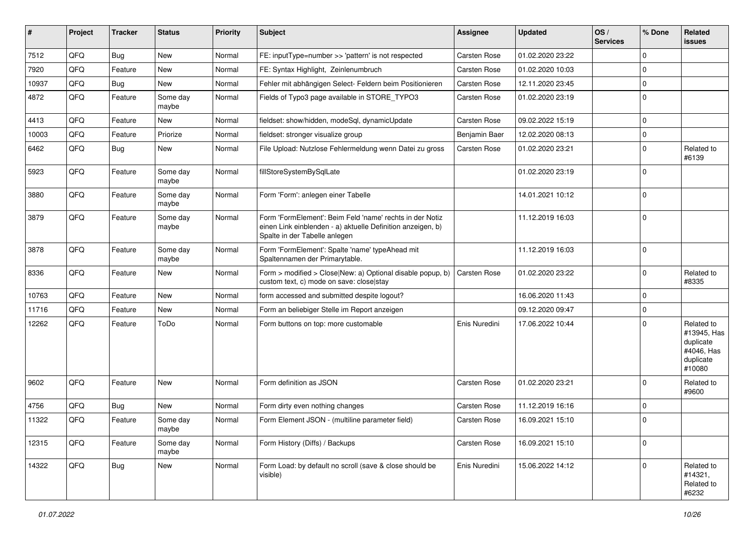| #     | Project | <b>Tracker</b> | <b>Status</b>     | <b>Priority</b> | Subject                                                                                                                                                  | Assignee            | <b>Updated</b>   | OS/<br><b>Services</b> | % Done      | Related<br>issues                                                           |
|-------|---------|----------------|-------------------|-----------------|----------------------------------------------------------------------------------------------------------------------------------------------------------|---------------------|------------------|------------------------|-------------|-----------------------------------------------------------------------------|
| 7512  | QFQ     | Bug            | New               | Normal          | FE: inputType=number >> 'pattern' is not respected                                                                                                       | Carsten Rose        | 01.02.2020 23:22 |                        | $\Omega$    |                                                                             |
| 7920  | QFQ     | Feature        | New               | Normal          | FE: Syntax Highlight, Zeinlenumbruch                                                                                                                     | Carsten Rose        | 01.02.2020 10:03 |                        | 0           |                                                                             |
| 10937 | QFQ     | Bug            | New               | Normal          | Fehler mit abhängigen Select- Feldern beim Positionieren                                                                                                 | Carsten Rose        | 12.11.2020 23:45 |                        | $\Omega$    |                                                                             |
| 4872  | QFQ     | Feature        | Some day<br>maybe | Normal          | Fields of Typo3 page available in STORE_TYPO3                                                                                                            | Carsten Rose        | 01.02.2020 23:19 |                        | $\Omega$    |                                                                             |
| 4413  | QFQ     | Feature        | <b>New</b>        | Normal          | fieldset: show/hidden, modeSql, dynamicUpdate                                                                                                            | Carsten Rose        | 09.02.2022 15:19 |                        | $\Omega$    |                                                                             |
| 10003 | QFQ     | Feature        | Priorize          | Normal          | fieldset: stronger visualize group                                                                                                                       | Benjamin Baer       | 12.02.2020 08:13 |                        | $\mathbf 0$ |                                                                             |
| 6462  | QFQ     | Bug            | New               | Normal          | File Upload: Nutzlose Fehlermeldung wenn Datei zu gross                                                                                                  | Carsten Rose        | 01.02.2020 23:21 |                        | $\Omega$    | Related to<br>#6139                                                         |
| 5923  | QFQ     | Feature        | Some day<br>maybe | Normal          | fillStoreSystemBySqlLate                                                                                                                                 |                     | 01.02.2020 23:19 |                        | $\mathbf 0$ |                                                                             |
| 3880  | QFQ     | Feature        | Some day<br>maybe | Normal          | Form 'Form': anlegen einer Tabelle                                                                                                                       |                     | 14.01.2021 10:12 |                        | 0           |                                                                             |
| 3879  | QFQ     | Feature        | Some day<br>maybe | Normal          | Form 'FormElement': Beim Feld 'name' rechts in der Notiz<br>einen Link einblenden - a) aktuelle Definition anzeigen, b)<br>Spalte in der Tabelle anlegen |                     | 11.12.2019 16:03 |                        | 0           |                                                                             |
| 3878  | QFQ     | Feature        | Some day<br>maybe | Normal          | Form 'FormElement': Spalte 'name' typeAhead mit<br>Spaltennamen der Primarytable.                                                                        |                     | 11.12.2019 16:03 |                        | 0           |                                                                             |
| 8336  | QFQ     | Feature        | New               | Normal          | Form > modified > Close New: a) Optional disable popup, b)<br>custom text, c) mode on save: close stay                                                   | <b>Carsten Rose</b> | 01.02.2020 23:22 |                        | $\mathbf 0$ | Related to<br>#8335                                                         |
| 10763 | QFQ     | Feature        | New               | Normal          | form accessed and submitted despite logout?                                                                                                              |                     | 16.06.2020 11:43 |                        | $\mathbf 0$ |                                                                             |
| 11716 | QFQ     | Feature        | <b>New</b>        | Normal          | Form an beliebiger Stelle im Report anzeigen                                                                                                             |                     | 09.12.2020 09:47 |                        | $\Omega$    |                                                                             |
| 12262 | QFQ     | Feature        | ToDo              | Normal          | Form buttons on top: more customable                                                                                                                     | Enis Nuredini       | 17.06.2022 10:44 |                        | $\Omega$    | Related to<br>#13945, Has<br>duplicate<br>#4046, Has<br>duplicate<br>#10080 |
| 9602  | QFQ     | Feature        | <b>New</b>        | Normal          | Form definition as JSON                                                                                                                                  | <b>Carsten Rose</b> | 01.02.2020 23:21 |                        | $\Omega$    | Related to<br>#9600                                                         |
| 4756  | QFQ     | Bug            | New               | Normal          | Form dirty even nothing changes                                                                                                                          | Carsten Rose        | 11.12.2019 16:16 |                        | $\mathbf 0$ |                                                                             |
| 11322 | QFQ     | Feature        | Some day<br>maybe | Normal          | Form Element JSON - (multiline parameter field)                                                                                                          | Carsten Rose        | 16.09.2021 15:10 |                        | $\mathbf 0$ |                                                                             |
| 12315 | QFQ     | Feature        | Some day<br>maybe | Normal          | Form History (Diffs) / Backups                                                                                                                           | Carsten Rose        | 16.09.2021 15:10 |                        | 0           |                                                                             |
| 14322 | QFQ     | <b>Bug</b>     | New               | Normal          | Form Load: by default no scroll (save & close should be<br>visible)                                                                                      | Enis Nuredini       | 15.06.2022 14:12 |                        | $\Omega$    | Related to<br>#14321,<br>Related to<br>#6232                                |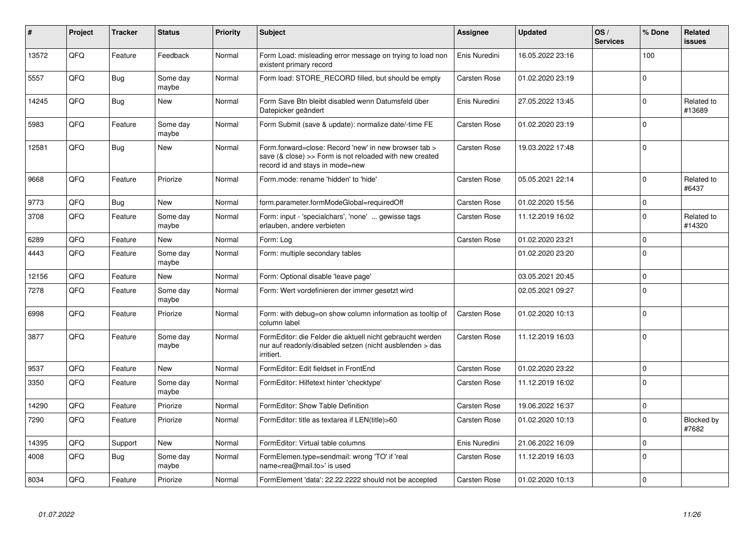| #     | Project | <b>Tracker</b> | <b>Status</b>     | <b>Priority</b> | <b>Subject</b>                                                                                                                                      | <b>Assignee</b>     | <b>Updated</b>   | OS/<br><b>Services</b> | % Done      | Related<br><b>issues</b> |
|-------|---------|----------------|-------------------|-----------------|-----------------------------------------------------------------------------------------------------------------------------------------------------|---------------------|------------------|------------------------|-------------|--------------------------|
| 13572 | QFQ     | Feature        | Feedback          | Normal          | Form Load: misleading error message on trying to load non<br>existent primary record                                                                | Enis Nuredini       | 16.05.2022 23:16 |                        | 100         |                          |
| 5557  | QFQ     | <b>Bug</b>     | Some day<br>maybe | Normal          | Form load: STORE_RECORD filled, but should be empty                                                                                                 | Carsten Rose        | 01.02.2020 23:19 |                        | $\Omega$    |                          |
| 14245 | QFQ     | Bug            | <b>New</b>        | Normal          | Form Save Btn bleibt disabled wenn Datumsfeld über<br>Datepicker geändert                                                                           | Enis Nuredini       | 27.05.2022 13:45 |                        | $\Omega$    | Related to<br>#13689     |
| 5983  | QFQ     | Feature        | Some day<br>maybe | Normal          | Form Submit (save & update): normalize date/-time FE                                                                                                | Carsten Rose        | 01.02.2020 23:19 |                        | $\Omega$    |                          |
| 12581 | QFQ     | Bug            | New               | Normal          | Form.forward=close: Record 'new' in new browser tab ><br>save (& close) >> Form is not reloaded with new created<br>record id and stays in mode=new | Carsten Rose        | 19.03.2022 17:48 |                        | $\mathbf 0$ |                          |
| 9668  | QFQ     | Feature        | Priorize          | Normal          | Form.mode: rename 'hidden' to 'hide'                                                                                                                | Carsten Rose        | 05.05.2021 22:14 |                        | $\Omega$    | Related to<br>#6437      |
| 9773  | QFQ     | Bug            | <b>New</b>        | Normal          | form.parameter.formModeGlobal=requiredOff                                                                                                           | <b>Carsten Rose</b> | 01.02.2020 15:56 |                        | $\mathbf 0$ |                          |
| 3708  | QFQ     | Feature        | Some day<br>maybe | Normal          | Form: input - 'specialchars', 'none'  gewisse tags<br>erlauben, andere verbieten                                                                    | Carsten Rose        | 11.12.2019 16:02 |                        | $\Omega$    | Related to<br>#14320     |
| 6289  | QFQ     | Feature        | <b>New</b>        | Normal          | Form: Log                                                                                                                                           | <b>Carsten Rose</b> | 01.02.2020 23:21 |                        | $\Omega$    |                          |
| 4443  | QFQ     | Feature        | Some day<br>maybe | Normal          | Form: multiple secondary tables                                                                                                                     |                     | 01.02.2020 23:20 |                        | $\Omega$    |                          |
| 12156 | QFQ     | Feature        | New               | Normal          | Form: Optional disable 'leave page'                                                                                                                 |                     | 03.05.2021 20:45 |                        | $\Omega$    |                          |
| 7278  | QFQ     | Feature        | Some day<br>maybe | Normal          | Form: Wert vordefinieren der immer gesetzt wird                                                                                                     |                     | 02.05.2021 09:27 |                        | $\Omega$    |                          |
| 6998  | QFQ     | Feature        | Priorize          | Normal          | Form: with debug=on show column information as tooltip of<br>column label                                                                           | <b>Carsten Rose</b> | 01.02.2020 10:13 |                        | $\Omega$    |                          |
| 3877  | QFQ     | Feature        | Some day<br>maybe | Normal          | FormEditor: die Felder die aktuell nicht gebraucht werden<br>nur auf readonly/disabled setzen (nicht ausblenden > das<br>irritiert.                 | Carsten Rose        | 11.12.2019 16:03 |                        | $\Omega$    |                          |
| 9537  | QFQ     | Feature        | New               | Normal          | FormEditor: Edit fieldset in FrontEnd                                                                                                               | <b>Carsten Rose</b> | 01.02.2020 23:22 |                        | $\Omega$    |                          |
| 3350  | QFQ     | Feature        | Some day<br>maybe | Normal          | FormEditor: Hilfetext hinter 'checktype'                                                                                                            | Carsten Rose        | 11.12.2019 16:02 |                        | $\Omega$    |                          |
| 14290 | QFQ     | Feature        | Priorize          | Normal          | FormEditor: Show Table Definition                                                                                                                   | <b>Carsten Rose</b> | 19.06.2022 16:37 |                        | $\Omega$    |                          |
| 7290  | QFQ     | Feature        | Priorize          | Normal          | FormEditor: title as textarea if LEN(title)>60                                                                                                      | Carsten Rose        | 01.02.2020 10:13 |                        | $\Omega$    | Blocked by<br>#7682      |
| 14395 | QFQ     | Support        | New               | Normal          | FormEditor: Virtual table columns                                                                                                                   | Enis Nuredini       | 21.06.2022 16:09 |                        | $\Omega$    |                          |
| 4008  | QFQ     | <b>Bug</b>     | Some day<br>maybe | Normal          | FormElemen.type=sendmail: wrong 'TO' if 'real<br>name <rea@mail.to>' is used</rea@mail.to>                                                          | Carsten Rose        | 11.12.2019 16:03 |                        | $\Omega$    |                          |
| 8034  | QFQ     | Feature        | Priorize          | Normal          | FormElement 'data': 22.22.2222 should not be accepted                                                                                               | Carsten Rose        | 01.02.2020 10:13 |                        | $\Omega$    |                          |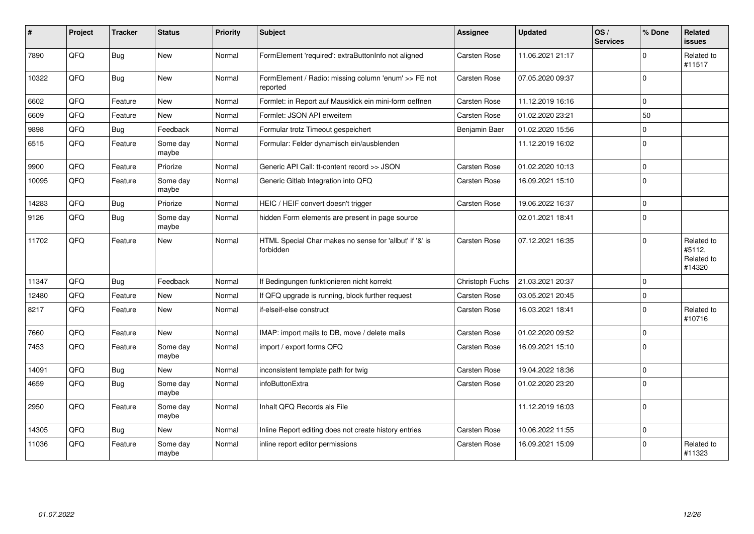| ∦     | Project    | <b>Tracker</b> | <b>Status</b>     | Priority | Subject                                                              | <b>Assignee</b>     | <b>Updated</b>   | OS/<br><b>Services</b> | % Done       | Related<br><b>issues</b>                     |
|-------|------------|----------------|-------------------|----------|----------------------------------------------------------------------|---------------------|------------------|------------------------|--------------|----------------------------------------------|
| 7890  | QFQ        | <b>Bug</b>     | New               | Normal   | FormElement 'required': extraButtonInfo not aligned                  | Carsten Rose        | 11.06.2021 21:17 |                        | $\Omega$     | Related to<br>#11517                         |
| 10322 | QFQ        | Bug            | New               | Normal   | FormElement / Radio: missing column 'enum' >> FE not<br>reported     | <b>Carsten Rose</b> | 07.05.2020 09:37 |                        | $\Omega$     |                                              |
| 6602  | QFQ        | Feature        | <b>New</b>        | Normal   | Formlet: in Report auf Mausklick ein mini-form oeffnen               | <b>Carsten Rose</b> | 11.12.2019 16:16 |                        | $\Omega$     |                                              |
| 6609  | QFQ        | Feature        | <b>New</b>        | Normal   | Formlet: JSON API erweitern                                          | <b>Carsten Rose</b> | 01.02.2020 23:21 |                        | 50           |                                              |
| 9898  | QFQ        | <b>Bug</b>     | Feedback          | Normal   | Formular trotz Timeout gespeichert                                   | Benjamin Baer       | 01.02.2020 15:56 |                        | $\mathbf 0$  |                                              |
| 6515  | QFQ        | Feature        | Some day<br>maybe | Normal   | Formular: Felder dynamisch ein/ausblenden                            |                     | 11.12.2019 16:02 |                        | $\Omega$     |                                              |
| 9900  | QFQ        | Feature        | Priorize          | Normal   | Generic API Call: tt-content record >> JSON                          | Carsten Rose        | 01.02.2020 10:13 |                        | $\mathbf 0$  |                                              |
| 10095 | QFQ        | Feature        | Some day<br>maybe | Normal   | Generic Gitlab Integration into QFQ                                  | Carsten Rose        | 16.09.2021 15:10 |                        | $\mathbf{0}$ |                                              |
| 14283 | QFQ        | <b>Bug</b>     | Priorize          | Normal   | HEIC / HEIF convert doesn't trigger                                  | Carsten Rose        | 19.06.2022 16:37 |                        | $\Omega$     |                                              |
| 9126  | QFQ        | Bug            | Some day<br>maybe | Normal   | hidden Form elements are present in page source                      |                     | 02.01.2021 18:41 |                        | $\Omega$     |                                              |
| 11702 | QFQ        | Feature        | <b>New</b>        | Normal   | HTML Special Char makes no sense for 'allbut' if '&' is<br>forbidden | <b>Carsten Rose</b> | 07.12.2021 16:35 |                        | $\Omega$     | Related to<br>#5112,<br>Related to<br>#14320 |
| 11347 | QFQ        | <b>Bug</b>     | Feedback          | Normal   | If Bedingungen funktionieren nicht korrekt                           | Christoph Fuchs     | 21.03.2021 20:37 |                        | $\mathbf 0$  |                                              |
| 12480 | QFQ        | Feature        | <b>New</b>        | Normal   | If QFQ upgrade is running, block further request                     | Carsten Rose        | 03.05.2021 20:45 |                        | $\mathbf 0$  |                                              |
| 8217  | QFQ        | Feature        | <b>New</b>        | Normal   | if-elseif-else construct                                             | Carsten Rose        | 16.03.2021 18:41 |                        | $\Omega$     | Related to<br>#10716                         |
| 7660  | QFQ        | Feature        | <b>New</b>        | Normal   | IMAP: import mails to DB, move / delete mails                        | Carsten Rose        | 01.02.2020 09:52 |                        | 0 l          |                                              |
| 7453  | QFQ        | Feature        | Some day<br>maybe | Normal   | import / export forms QFQ                                            | <b>Carsten Rose</b> | 16.09.2021 15:10 |                        | $\Omega$     |                                              |
| 14091 | <b>OFO</b> | Bug            | <b>New</b>        | Normal   | inconsistent template path for twig                                  | <b>Carsten Rose</b> | 19.04.2022 18:36 |                        | $\Omega$     |                                              |
| 4659  | QFQ        | Bug            | Some day<br>maybe | Normal   | infoButtonExtra                                                      | Carsten Rose        | 01.02.2020 23:20 |                        | $\mathbf 0$  |                                              |
| 2950  | QFQ        | Feature        | Some day<br>maybe | Normal   | Inhalt QFQ Records als File                                          |                     | 11.12.2019 16:03 |                        | $\Omega$     |                                              |
| 14305 | QFQ        | Bug            | New               | Normal   | Inline Report editing does not create history entries                | <b>Carsten Rose</b> | 10.06.2022 11:55 |                        | $\mathbf 0$  |                                              |
| 11036 | QFQ        | Feature        | Some day<br>maybe | Normal   | inline report editor permissions                                     | Carsten Rose        | 16.09.2021 15:09 |                        | $\mathbf 0$  | Related to<br>#11323                         |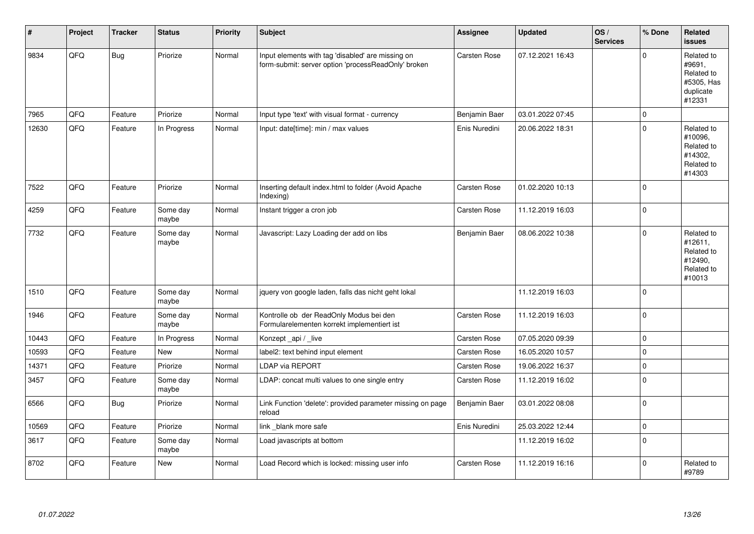| #     | Project | <b>Tracker</b> | <b>Status</b>     | <b>Priority</b> | <b>Subject</b>                                                                                           | Assignee      | <b>Updated</b>   | OS/<br><b>Services</b> | % Done              | Related<br><b>issues</b>                                                |
|-------|---------|----------------|-------------------|-----------------|----------------------------------------------------------------------------------------------------------|---------------|------------------|------------------------|---------------------|-------------------------------------------------------------------------|
| 9834  | QFQ     | <b>Bug</b>     | Priorize          | Normal          | Input elements with tag 'disabled' are missing on<br>form-submit: server option 'processReadOnly' broken | Carsten Rose  | 07.12.2021 16:43 |                        | $\Omega$            | Related to<br>#9691,<br>Related to<br>#5305, Has<br>duplicate<br>#12331 |
| 7965  | QFQ     | Feature        | Priorize          | Normal          | Input type 'text' with visual format - currency                                                          | Benjamin Baer | 03.01.2022 07:45 |                        | $\mathsf{O}\xspace$ |                                                                         |
| 12630 | QFG     | Feature        | In Progress       | Normal          | Input: date[time]: min / max values                                                                      | Enis Nuredini | 20.06.2022 18:31 |                        | $\mathbf 0$         | Related to<br>#10096,<br>Related to<br>#14302,<br>Related to<br>#14303  |
| 7522  | QFQ     | Feature        | Priorize          | Normal          | Inserting default index.html to folder (Avoid Apache<br>Indexing)                                        | Carsten Rose  | 01.02.2020 10:13 |                        | $\mathbf 0$         |                                                                         |
| 4259  | QFQ     | Feature        | Some day<br>maybe | Normal          | Instant trigger a cron job                                                                               | Carsten Rose  | 11.12.2019 16:03 |                        | $\pmb{0}$           |                                                                         |
| 7732  | QFQ     | Feature        | Some day<br>maybe | Normal          | Javascript: Lazy Loading der add on libs                                                                 | Benjamin Baer | 08.06.2022 10:38 |                        | $\mathbf 0$         | Related to<br>#12611,<br>Related to<br>#12490,<br>Related to<br>#10013  |
| 1510  | QFQ     | Feature        | Some day<br>maybe | Normal          | jquery von google laden, falls das nicht geht lokal                                                      |               | 11.12.2019 16:03 |                        | $\pmb{0}$           |                                                                         |
| 1946  | QFQ     | Feature        | Some day<br>maybe | Normal          | Kontrolle ob der ReadOnly Modus bei den<br>Formularelementen korrekt implementiert ist                   | Carsten Rose  | 11.12.2019 16:03 |                        | $\pmb{0}$           |                                                                         |
| 10443 | QFQ     | Feature        | In Progress       | Normal          | Konzept_api / _live                                                                                      | Carsten Rose  | 07.05.2020 09:39 |                        | $\mathbf 0$         |                                                                         |
| 10593 | QFQ     | Feature        | <b>New</b>        | Normal          | label2: text behind input element                                                                        | Carsten Rose  | 16.05.2020 10:57 |                        | $\pmb{0}$           |                                                                         |
| 14371 | QFQ     | Feature        | Priorize          | Normal          | <b>LDAP via REPORT</b>                                                                                   | Carsten Rose  | 19.06.2022 16:37 |                        | $\pmb{0}$           |                                                                         |
| 3457  | QFQ     | Feature        | Some day<br>maybe | Normal          | LDAP: concat multi values to one single entry                                                            | Carsten Rose  | 11.12.2019 16:02 |                        | $\mathbf 0$         |                                                                         |
| 6566  | QFQ     | <b>Bug</b>     | Priorize          | Normal          | Link Function 'delete': provided parameter missing on page<br>reload                                     | Benjamin Baer | 03.01.2022 08:08 |                        | $\mathbf 0$         |                                                                         |
| 10569 | QFQ     | Feature        | Priorize          | Normal          | link blank more safe                                                                                     | Enis Nuredini | 25.03.2022 12:44 |                        | $\mathsf{O}\xspace$ |                                                                         |
| 3617  | QFQ     | Feature        | Some day<br>maybe | Normal          | Load javascripts at bottom                                                                               |               | 11.12.2019 16:02 |                        | $\mathbf 0$         |                                                                         |
| 8702  | QFQ     | Feature        | <b>New</b>        | Normal          | Load Record which is locked: missing user info                                                           | Carsten Rose  | 11.12.2019 16:16 |                        | $\mathbf 0$         | Related to<br>#9789                                                     |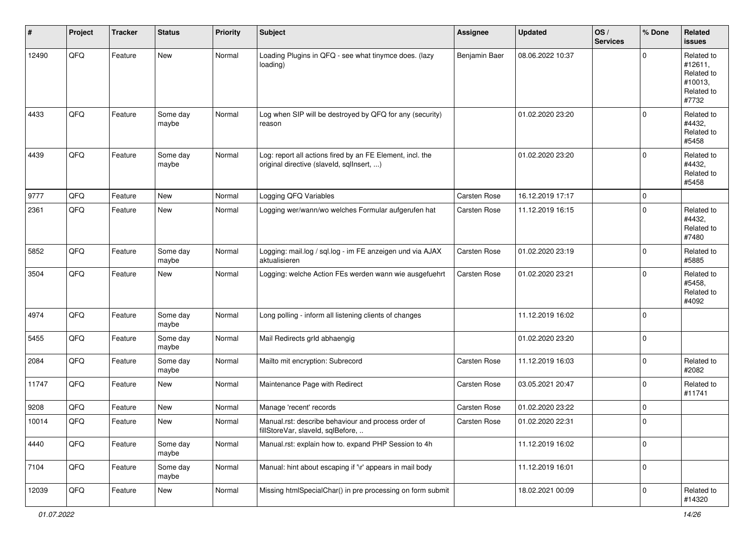| #     | Project | <b>Tracker</b> | <b>Status</b>     | <b>Priority</b> | Subject                                                                                                | <b>Assignee</b> | <b>Updated</b>   | OS/<br><b>Services</b> | % Done      | Related<br><b>issues</b>                                              |
|-------|---------|----------------|-------------------|-----------------|--------------------------------------------------------------------------------------------------------|-----------------|------------------|------------------------|-------------|-----------------------------------------------------------------------|
| 12490 | QFQ     | Feature        | New               | Normal          | Loading Plugins in QFQ - see what tinymce does. (lazy<br>loading)                                      | Benjamin Baer   | 08.06.2022 10:37 |                        | $\Omega$    | Related to<br>#12611,<br>Related to<br>#10013,<br>Related to<br>#7732 |
| 4433  | QFQ     | Feature        | Some day<br>maybe | Normal          | Log when SIP will be destroyed by QFQ for any (security)<br>reason                                     |                 | 01.02.2020 23:20 |                        | $\Omega$    | Related to<br>#4432,<br>Related to<br>#5458                           |
| 4439  | QFQ     | Feature        | Some day<br>maybe | Normal          | Log: report all actions fired by an FE Element, incl. the<br>original directive (slaveld, sqllnsert, ) |                 | 01.02.2020 23:20 |                        | 0           | Related to<br>#4432,<br>Related to<br>#5458                           |
| 9777  | QFQ     | Feature        | <b>New</b>        | Normal          | Logging QFQ Variables                                                                                  | Carsten Rose    | 16.12.2019 17:17 |                        | $\mathbf 0$ |                                                                       |
| 2361  | QFQ     | Feature        | New               | Normal          | Logging wer/wann/wo welches Formular aufgerufen hat                                                    | Carsten Rose    | 11.12.2019 16:15 |                        | $\mathbf 0$ | Related to<br>#4432,<br>Related to<br>#7480                           |
| 5852  | QFQ     | Feature        | Some day<br>maybe | Normal          | Logging: mail.log / sql.log - im FE anzeigen und via AJAX<br>aktualisieren                             | Carsten Rose    | 01.02.2020 23:19 |                        | $\mathbf 0$ | Related to<br>#5885                                                   |
| 3504  | QFQ     | Feature        | New               | Normal          | Logging: welche Action FEs werden wann wie ausgefuehrt                                                 | Carsten Rose    | 01.02.2020 23:21 |                        | $\mathbf 0$ | Related to<br>#5458,<br>Related to<br>#4092                           |
| 4974  | QFQ     | Feature        | Some day<br>maybe | Normal          | Long polling - inform all listening clients of changes                                                 |                 | 11.12.2019 16:02 |                        | 0           |                                                                       |
| 5455  | QFQ     | Feature        | Some day<br>maybe | Normal          | Mail Redirects grld abhaengig                                                                          |                 | 01.02.2020 23:20 |                        | $\mathbf 0$ |                                                                       |
| 2084  | QFQ     | Feature        | Some day<br>maybe | Normal          | Mailto mit encryption: Subrecord                                                                       | Carsten Rose    | 11.12.2019 16:03 |                        | $\mathbf 0$ | Related to<br>#2082                                                   |
| 11747 | QFQ     | Feature        | New               | Normal          | Maintenance Page with Redirect                                                                         | Carsten Rose    | 03.05.2021 20:47 |                        | $\mathbf 0$ | Related to<br>#11741                                                  |
| 9208  | QFQ     | Feature        | New               | Normal          | Manage 'recent' records                                                                                | Carsten Rose    | 01.02.2020 23:22 |                        | $\mathbf 0$ |                                                                       |
| 10014 | QFQ     | Feature        | New               | Normal          | Manual.rst: describe behaviour and process order of<br>fillStoreVar, slaveId, sqlBefore,               | Carsten Rose    | 01.02.2020 22:31 |                        | 0           |                                                                       |
| 4440  | QFQ     | Feature        | Some day<br>maybe | Normal          | Manual.rst: explain how to. expand PHP Session to 4h                                                   |                 | 11.12.2019 16:02 |                        | $\mathbf 0$ |                                                                       |
| 7104  | QFQ     | Feature        | Some day<br>maybe | Normal          | Manual: hint about escaping if '\r' appears in mail body                                               |                 | 11.12.2019 16:01 |                        | 0           |                                                                       |
| 12039 | QFG     | Feature        | New               | Normal          | Missing htmlSpecialChar() in pre processing on form submit                                             |                 | 18.02.2021 00:09 |                        | $\mathbf 0$ | Related to<br>#14320                                                  |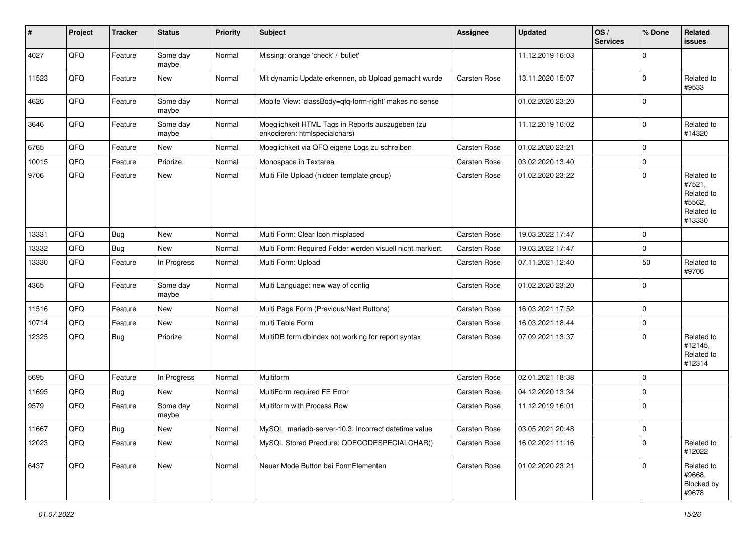| $\sharp$ | Project | <b>Tracker</b> | <b>Status</b>     | <b>Priority</b> | Subject                                                                           | <b>Assignee</b> | <b>Updated</b>   | OS/<br><b>Services</b> | % Done      | Related<br>issues                                                    |
|----------|---------|----------------|-------------------|-----------------|-----------------------------------------------------------------------------------|-----------------|------------------|------------------------|-------------|----------------------------------------------------------------------|
| 4027     | QFQ     | Feature        | Some day<br>maybe | Normal          | Missing: orange 'check' / 'bullet'                                                |                 | 11.12.2019 16:03 |                        | $\mathbf 0$ |                                                                      |
| 11523    | QFQ     | Feature        | New               | Normal          | Mit dynamic Update erkennen, ob Upload gemacht wurde                              | Carsten Rose    | 13.11.2020 15:07 |                        | $\mathbf 0$ | Related to<br>#9533                                                  |
| 4626     | QFQ     | Feature        | Some day<br>maybe | Normal          | Mobile View: 'classBody=qfq-form-right' makes no sense                            |                 | 01.02.2020 23:20 |                        | $\Omega$    |                                                                      |
| 3646     | QFQ     | Feature        | Some day<br>maybe | Normal          | Moeglichkeit HTML Tags in Reports auszugeben (zu<br>enkodieren: htmlspecialchars) |                 | 11.12.2019 16:02 |                        | $\mathbf 0$ | Related to<br>#14320                                                 |
| 6765     | QFQ     | Feature        | <b>New</b>        | Normal          | Moeglichkeit via QFQ eigene Logs zu schreiben                                     | Carsten Rose    | 01.02.2020 23:21 |                        | $\mathbf 0$ |                                                                      |
| 10015    | QFQ     | Feature        | Priorize          | Normal          | Monospace in Textarea                                                             | Carsten Rose    | 03.02.2020 13:40 |                        | 0           |                                                                      |
| 9706     | QFQ     | Feature        | New               | Normal          | Multi File Upload (hidden template group)                                         | Carsten Rose    | 01.02.2020 23:22 |                        | $\mathbf 0$ | Related to<br>#7521,<br>Related to<br>#5562,<br>Related to<br>#13330 |
| 13331    | QFQ     | <b>Bug</b>     | <b>New</b>        | Normal          | Multi Form: Clear Icon misplaced                                                  | Carsten Rose    | 19.03.2022 17:47 |                        | $\mathbf 0$ |                                                                      |
| 13332    | QFQ     | <b>Bug</b>     | New               | Normal          | Multi Form: Required Felder werden visuell nicht markiert.                        | Carsten Rose    | 19.03.2022 17:47 |                        | $\mathbf 0$ |                                                                      |
| 13330    | QFQ     | Feature        | In Progress       | Normal          | Multi Form: Upload                                                                | Carsten Rose    | 07.11.2021 12:40 |                        | 50          | Related to<br>#9706                                                  |
| 4365     | QFQ     | Feature        | Some day<br>maybe | Normal          | Multi Language: new way of config                                                 | Carsten Rose    | 01.02.2020 23:20 |                        | $\mathbf 0$ |                                                                      |
| 11516    | QFQ     | Feature        | <b>New</b>        | Normal          | Multi Page Form (Previous/Next Buttons)                                           | Carsten Rose    | 16.03.2021 17:52 |                        | $\mathbf 0$ |                                                                      |
| 10714    | QFQ     | Feature        | New               | Normal          | multi Table Form                                                                  | Carsten Rose    | 16.03.2021 18:44 |                        | 0           |                                                                      |
| 12325    | QFQ     | <b>Bug</b>     | Priorize          | Normal          | MultiDB form.dbIndex not working for report syntax                                | Carsten Rose    | 07.09.2021 13:37 |                        | $\Omega$    | Related to<br>#12145,<br>Related to<br>#12314                        |
| 5695     | QFQ     | Feature        | In Progress       | Normal          | Multiform                                                                         | Carsten Rose    | 02.01.2021 18:38 |                        | $\mathbf 0$ |                                                                      |
| 11695    | QFQ     | Bug            | New               | Normal          | MultiForm required FE Error                                                       | Carsten Rose    | 04.12.2020 13:34 |                        | $\Omega$    |                                                                      |
| 9579     | QFQ     | Feature        | Some day<br>maybe | Normal          | Multiform with Process Row                                                        | Carsten Rose    | 11.12.2019 16:01 |                        | 0           |                                                                      |
| 11667    | QFG     | Bug            | New               | Normal          | MySQL mariadb-server-10.3: Incorrect datetime value                               | Carsten Rose    | 03.05.2021 20:48 |                        | O           |                                                                      |
| 12023    | QFQ     | Feature        | New               | Normal          | MySQL Stored Precdure: QDECODESPECIALCHAR()                                       | Carsten Rose    | 16.02.2021 11:16 |                        | $\mathbf 0$ | Related to<br>#12022                                                 |
| 6437     | QFQ     | Feature        | New               | Normal          | Neuer Mode Button bei FormElementen                                               | Carsten Rose    | 01.02.2020 23:21 |                        | $\mathbf 0$ | Related to<br>#9668,<br>Blocked by<br>#9678                          |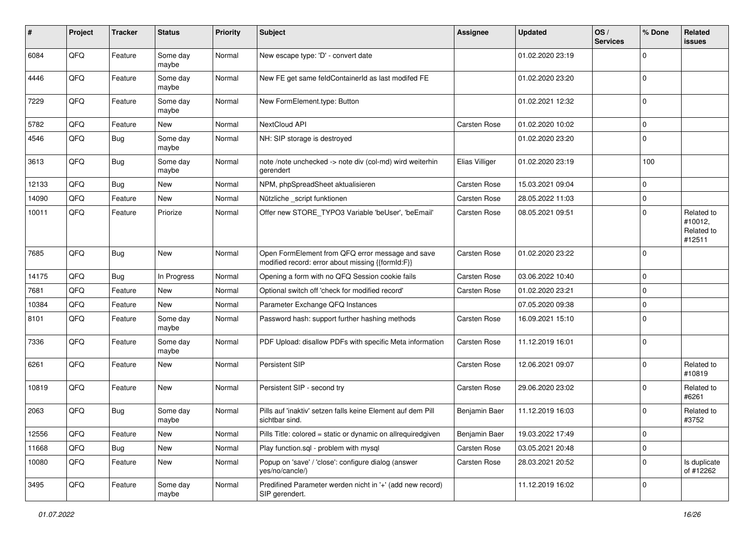| $\sharp$ | Project | <b>Tracker</b> | <b>Status</b>     | <b>Priority</b> | <b>Subject</b>                                                                                        | Assignee            | <b>Updated</b>   | OS/<br><b>Services</b> | % Done      | Related<br>issues                             |
|----------|---------|----------------|-------------------|-----------------|-------------------------------------------------------------------------------------------------------|---------------------|------------------|------------------------|-------------|-----------------------------------------------|
| 6084     | QFQ     | Feature        | Some day<br>maybe | Normal          | New escape type: 'D' - convert date                                                                   |                     | 01.02.2020 23:19 |                        | $\Omega$    |                                               |
| 4446     | QFQ     | Feature        | Some day<br>maybe | Normal          | New FE get same feldContainerId as last modifed FE                                                    |                     | 01.02.2020 23:20 |                        | $\mathbf 0$ |                                               |
| 7229     | QFQ     | Feature        | Some day<br>maybe | Normal          | New FormElement.type: Button                                                                          |                     | 01.02.2021 12:32 |                        | 0           |                                               |
| 5782     | QFQ     | Feature        | New               | Normal          | NextCloud API                                                                                         | Carsten Rose        | 01.02.2020 10:02 |                        | $\mathbf 0$ |                                               |
| 4546     | QFQ     | Bug            | Some day<br>maybe | Normal          | NH: SIP storage is destroyed                                                                          |                     | 01.02.2020 23:20 |                        | $\Omega$    |                                               |
| 3613     | QFQ     | Bug            | Some day<br>maybe | Normal          | note /note unchecked -> note div (col-md) wird weiterhin<br>gerendert                                 | Elias Villiger      | 01.02.2020 23:19 |                        | 100         |                                               |
| 12133    | QFQ     | <b>Bug</b>     | <b>New</b>        | Normal          | NPM, phpSpreadSheet aktualisieren                                                                     | Carsten Rose        | 15.03.2021 09:04 |                        | 0           |                                               |
| 14090    | QFQ     | Feature        | New               | Normal          | Nützliche script funktionen                                                                           | Carsten Rose        | 28.05.2022 11:03 |                        | 0           |                                               |
| 10011    | QFQ     | Feature        | Priorize          | Normal          | Offer new STORE_TYPO3 Variable 'beUser', 'beEmail'                                                    | Carsten Rose        | 08.05.2021 09:51 |                        | $\Omega$    | Related to<br>#10012,<br>Related to<br>#12511 |
| 7685     | QFQ     | Bug            | <b>New</b>        | Normal          | Open FormElement from QFQ error message and save<br>modified record: error about missing {{formId:F}} | Carsten Rose        | 01.02.2020 23:22 |                        | $\mathbf 0$ |                                               |
| 14175    | QFQ     | Bug            | In Progress       | Normal          | Opening a form with no QFQ Session cookie fails                                                       | Carsten Rose        | 03.06.2022 10:40 |                        | $\mathbf 0$ |                                               |
| 7681     | QFQ     | Feature        | <b>New</b>        | Normal          | Optional switch off 'check for modified record'                                                       | Carsten Rose        | 01.02.2020 23:21 |                        | $\Omega$    |                                               |
| 10384    | QFQ     | Feature        | New               | Normal          | Parameter Exchange QFQ Instances                                                                      |                     | 07.05.2020 09:38 |                        | $\mathbf 0$ |                                               |
| 8101     | QFQ     | Feature        | Some day<br>maybe | Normal          | Password hash: support further hashing methods                                                        | Carsten Rose        | 16.09.2021 15:10 |                        | $\Omega$    |                                               |
| 7336     | QFQ     | Feature        | Some day<br>maybe | Normal          | PDF Upload: disallow PDFs with specific Meta information                                              | Carsten Rose        | 11.12.2019 16:01 |                        | $\Omega$    |                                               |
| 6261     | QFQ     | Feature        | New               | Normal          | Persistent SIP                                                                                        | Carsten Rose        | 12.06.2021 09:07 |                        | $\Omega$    | Related to<br>#10819                          |
| 10819    | QFQ     | Feature        | New               | Normal          | Persistent SIP - second try                                                                           | Carsten Rose        | 29.06.2020 23:02 |                        | $\Omega$    | Related to<br>#6261                           |
| 2063     | QFQ     | <b>Bug</b>     | Some day<br>maybe | Normal          | Pills auf 'inaktiv' setzen falls keine Element auf dem Pill<br>sichtbar sind.                         | Benjamin Baer       | 11.12.2019 16:03 |                        | 0           | Related to<br>#3752                           |
| 12556    | QFQ     | Feature        | New               | Normal          | Pills Title: colored = static or dynamic on allrequiredgiven                                          | Benjamin Baer       | 19.03.2022 17:49 |                        | 0           |                                               |
| 11668    | QFQ     | <b>Bug</b>     | New               | Normal          | Play function.sql - problem with mysql                                                                | Carsten Rose        | 03.05.2021 20:48 |                        | $\mathbf 0$ |                                               |
| 10080    | QFQ     | Feature        | New               | Normal          | Popup on 'save' / 'close': configure dialog (answer<br>yes/no/cancle/)                                | <b>Carsten Rose</b> | 28.03.2021 20:52 |                        | 0           | Is duplicate<br>of #12262                     |
| 3495     | QFQ     | Feature        | Some day<br>maybe | Normal          | Predifined Parameter werden nicht in '+' (add new record)<br>SIP gerendert.                           |                     | 11.12.2019 16:02 |                        | 0           |                                               |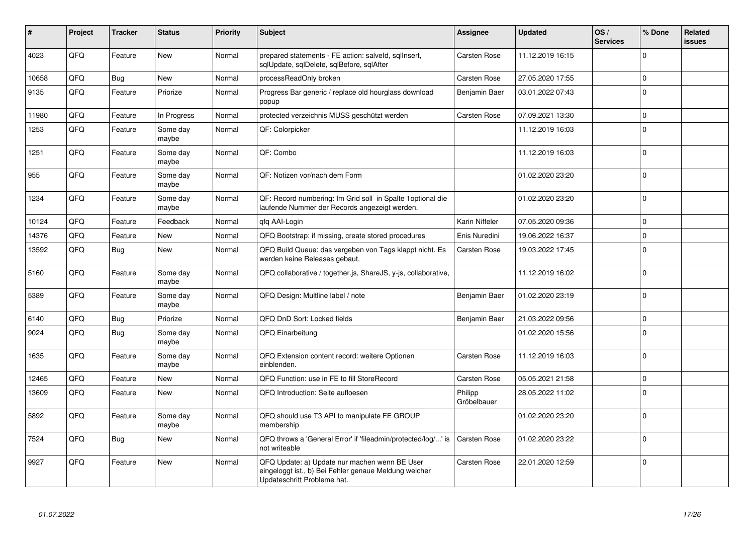| #     | Project | <b>Tracker</b> | <b>Status</b>     | <b>Priority</b> | <b>Subject</b>                                                                                                                        | Assignee               | <b>Updated</b>   | OS/<br><b>Services</b> | % Done      | Related<br><b>issues</b> |
|-------|---------|----------------|-------------------|-----------------|---------------------------------------------------------------------------------------------------------------------------------------|------------------------|------------------|------------------------|-------------|--------------------------|
| 4023  | QFQ     | Feature        | <b>New</b>        | Normal          | prepared statements - FE action: salveld, sqlInsert,<br>sqlUpdate, sqlDelete, sqlBefore, sqlAfter                                     | <b>Carsten Rose</b>    | 11.12.2019 16:15 |                        | $\Omega$    |                          |
| 10658 | QFQ     | Bug            | <b>New</b>        | Normal          | processReadOnly broken                                                                                                                | <b>Carsten Rose</b>    | 27.05.2020 17:55 |                        | $\Omega$    |                          |
| 9135  | QFQ     | Feature        | Priorize          | Normal          | Progress Bar generic / replace old hourglass download<br>popup                                                                        | Benjamin Baer          | 03.01.2022 07:43 |                        | $\Omega$    |                          |
| 11980 | QFQ     | Feature        | In Progress       | Normal          | protected verzeichnis MUSS geschützt werden                                                                                           | Carsten Rose           | 07.09.2021 13:30 |                        | $\Omega$    |                          |
| 1253  | QFQ     | Feature        | Some day<br>maybe | Normal          | QF: Colorpicker                                                                                                                       |                        | 11.12.2019 16:03 |                        | $\Omega$    |                          |
| 1251  | QFQ     | Feature        | Some day<br>maybe | Normal          | QF: Combo                                                                                                                             |                        | 11.12.2019 16:03 |                        | $\Omega$    |                          |
| 955   | QFQ     | Feature        | Some day<br>maybe | Normal          | QF: Notizen vor/nach dem Form                                                                                                         |                        | 01.02.2020 23:20 |                        | $\Omega$    |                          |
| 1234  | QFQ     | Feature        | Some day<br>maybe | Normal          | QF: Record numbering: Im Grid soll in Spalte 1 optional die<br>laufende Nummer der Records angezeigt werden.                          |                        | 01.02.2020 23:20 |                        | $\Omega$    |                          |
| 10124 | QFQ     | Feature        | Feedback          | Normal          | qfq AAI-Login                                                                                                                         | Karin Niffeler         | 07.05.2020 09:36 |                        | $\Omega$    |                          |
| 14376 | QFQ     | Feature        | New               | Normal          | QFQ Bootstrap: if missing, create stored procedures                                                                                   | Enis Nuredini          | 19.06.2022 16:37 |                        | $\mathbf 0$ |                          |
| 13592 | QFQ     | Bug            | <b>New</b>        | Normal          | QFQ Build Queue: das vergeben von Tags klappt nicht. Es<br>werden keine Releases gebaut.                                              | Carsten Rose           | 19.03.2022 17:45 |                        | $\Omega$    |                          |
| 5160  | QFQ     | Feature        | Some day<br>maybe | Normal          | QFQ collaborative / together.js, ShareJS, y-js, collaborative,                                                                        |                        | 11.12.2019 16:02 |                        | $\Omega$    |                          |
| 5389  | QFQ     | Feature        | Some day<br>maybe | Normal          | QFQ Design: Multline label / note                                                                                                     | Benjamin Baer          | 01.02.2020 23:19 |                        | $\Omega$    |                          |
| 6140  | QFQ     | <b>Bug</b>     | Priorize          | Normal          | QFQ DnD Sort: Locked fields                                                                                                           | Benjamin Baer          | 21.03.2022 09:56 |                        | $\Omega$    |                          |
| 9024  | QFQ     | Bug            | Some day<br>maybe | Normal          | QFQ Einarbeitung                                                                                                                      |                        | 01.02.2020 15:56 |                        | $\Omega$    |                          |
| 1635  | QFQ     | Feature        | Some day<br>maybe | Normal          | QFQ Extension content record: weitere Optionen<br>einblenden.                                                                         | Carsten Rose           | 11.12.2019 16:03 |                        | $\Omega$    |                          |
| 12465 | QFQ     | Feature        | <b>New</b>        | Normal          | QFQ Function: use in FE to fill StoreRecord                                                                                           | <b>Carsten Rose</b>    | 05.05.2021 21:58 |                        | $\Omega$    |                          |
| 13609 | QFQ     | Feature        | New               | Normal          | QFQ Introduction: Seite aufloesen                                                                                                     | Philipp<br>Gröbelbauer | 28.05.2022 11:02 |                        | $\Omega$    |                          |
| 5892  | QFQ     | Feature        | Some day<br>maybe | Normal          | QFQ should use T3 API to manipulate FE GROUP<br>membership                                                                            |                        | 01.02.2020 23:20 |                        | $\Omega$    |                          |
| 7524  | QFQ     | Bug            | New               | Normal          | QFQ throws a 'General Error' if 'fileadmin/protected/log/' is<br>not writeable                                                        | Carsten Rose           | 01.02.2020 23:22 |                        | $\Omega$    |                          |
| 9927  | QFQ     | Feature        | <b>New</b>        | Normal          | QFQ Update: a) Update nur machen wenn BE User<br>eingeloggt ist., b) Bei Fehler genaue Meldung welcher<br>Updateschritt Probleme hat. | Carsten Rose           | 22.01.2020 12:59 |                        | $\mathbf 0$ |                          |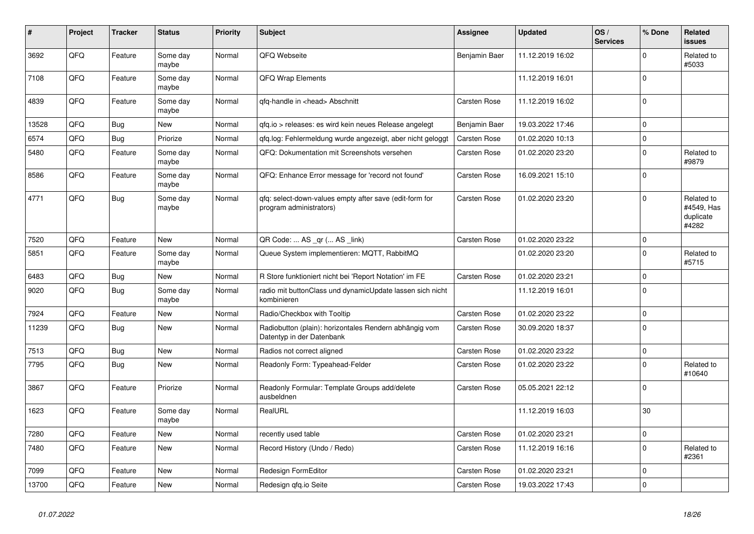| $\vert$ # | Project | <b>Tracker</b> | <b>Status</b>     | <b>Priority</b> | <b>Subject</b>                                                                      | Assignee            | <b>Updated</b>   | OS/<br><b>Services</b> | % Done      | Related<br>issues                              |
|-----------|---------|----------------|-------------------|-----------------|-------------------------------------------------------------------------------------|---------------------|------------------|------------------------|-------------|------------------------------------------------|
| 3692      | QFQ     | Feature        | Some day<br>maybe | Normal          | QFQ Webseite                                                                        | Benjamin Baer       | 11.12.2019 16:02 |                        | $\Omega$    | Related to<br>#5033                            |
| 7108      | QFQ     | Feature        | Some day<br>maybe | Normal          | <b>QFQ Wrap Elements</b>                                                            |                     | 11.12.2019 16:01 |                        | $\mathbf 0$ |                                                |
| 4839      | QFQ     | Feature        | Some day<br>maybe | Normal          | qfq-handle in <head> Abschnitt</head>                                               | <b>Carsten Rose</b> | 11.12.2019 16:02 |                        | $\mathbf 0$ |                                                |
| 13528     | QFQ     | <b>Bug</b>     | New               | Normal          | qfq.io > releases: es wird kein neues Release angelegt                              | Benjamin Baer       | 19.03.2022 17:46 |                        | $\Omega$    |                                                |
| 6574      | QFQ     | <b>Bug</b>     | Priorize          | Normal          | qfq.log: Fehlermeldung wurde angezeigt, aber nicht geloggt                          | <b>Carsten Rose</b> | 01.02.2020 10:13 |                        | $\mathbf 0$ |                                                |
| 5480      | QFQ     | Feature        | Some day<br>maybe | Normal          | QFQ: Dokumentation mit Screenshots versehen                                         | <b>Carsten Rose</b> | 01.02.2020 23:20 |                        | $\mathbf 0$ | Related to<br>#9879                            |
| 8586      | QFQ     | Feature        | Some day<br>maybe | Normal          | QFQ: Enhance Error message for 'record not found'                                   | Carsten Rose        | 16.09.2021 15:10 |                        | $\Omega$    |                                                |
| 4771      | QFQ     | <b>Bug</b>     | Some day<br>maybe | Normal          | qfq: select-down-values empty after save (edit-form for<br>program administrators)  | <b>Carsten Rose</b> | 01.02.2020 23:20 |                        | $\Omega$    | Related to<br>#4549, Has<br>duplicate<br>#4282 |
| 7520      | QFQ     | Feature        | <b>New</b>        | Normal          | QR Code:  AS _qr ( AS _link)                                                        | <b>Carsten Rose</b> | 01.02.2020 23:22 |                        | $\mathbf 0$ |                                                |
| 5851      | QFQ     | Feature        | Some day<br>maybe | Normal          | Queue System implementieren: MQTT, RabbitMQ                                         |                     | 01.02.2020 23:20 |                        | $\Omega$    | Related to<br>#5715                            |
| 6483      | QFQ     | <b>Bug</b>     | <b>New</b>        | Normal          | R Store funktioniert nicht bei 'Report Notation' im FE                              | Carsten Rose        | 01.02.2020 23:21 |                        | $\mathbf 0$ |                                                |
| 9020      | QFQ     | <b>Bug</b>     | Some day<br>maybe | Normal          | radio mit buttonClass und dynamicUpdate lassen sich nicht<br>kombinieren            |                     | 11.12.2019 16:01 |                        | $\Omega$    |                                                |
| 7924      | QFQ     | Feature        | <b>New</b>        | Normal          | Radio/Checkbox with Tooltip                                                         | Carsten Rose        | 01.02.2020 23:22 |                        | $\mathbf 0$ |                                                |
| 11239     | QFQ     | Bug            | <b>New</b>        | Normal          | Radiobutton (plain): horizontales Rendern abhängig vom<br>Datentyp in der Datenbank | Carsten Rose        | 30.09.2020 18:37 |                        | $\Omega$    |                                                |
| 7513      | QFQ     | <b>Bug</b>     | <b>New</b>        | Normal          | Radios not correct aligned                                                          | Carsten Rose        | 01.02.2020 23:22 |                        | $\pmb{0}$   |                                                |
| 7795      | QFQ     | Bug            | New               | Normal          | Readonly Form: Typeahead-Felder                                                     | Carsten Rose        | 01.02.2020 23:22 |                        | $\mathbf 0$ | Related to<br>#10640                           |
| 3867      | QFQ     | Feature        | Priorize          | Normal          | Readonly Formular: Template Groups add/delete<br>ausbeldnen                         | Carsten Rose        | 05.05.2021 22:12 |                        | $\Omega$    |                                                |
| 1623      | QFQ     | Feature        | Some day<br>maybe | Normal          | RealURL                                                                             |                     | 11.12.2019 16:03 |                        | 30          |                                                |
| 7280      | QFQ     | Feature        | <b>New</b>        | Normal          | recently used table                                                                 | Carsten Rose        | 01.02.2020 23:21 |                        | $\mathbf 0$ |                                                |
| 7480      | QFQ     | Feature        | New               | Normal          | Record History (Undo / Redo)                                                        | <b>Carsten Rose</b> | 11.12.2019 16:16 |                        | $\Omega$    | Related to<br>#2361                            |
| 7099      | QFQ     | Feature        | New               | Normal          | Redesign FormEditor                                                                 | <b>Carsten Rose</b> | 01.02.2020 23:21 |                        | $\mathbf 0$ |                                                |
| 13700     | QFQ     | Feature        | New               | Normal          | Redesign gfg.io Seite                                                               | <b>Carsten Rose</b> | 19.03.2022 17:43 |                        | $\mathbf 0$ |                                                |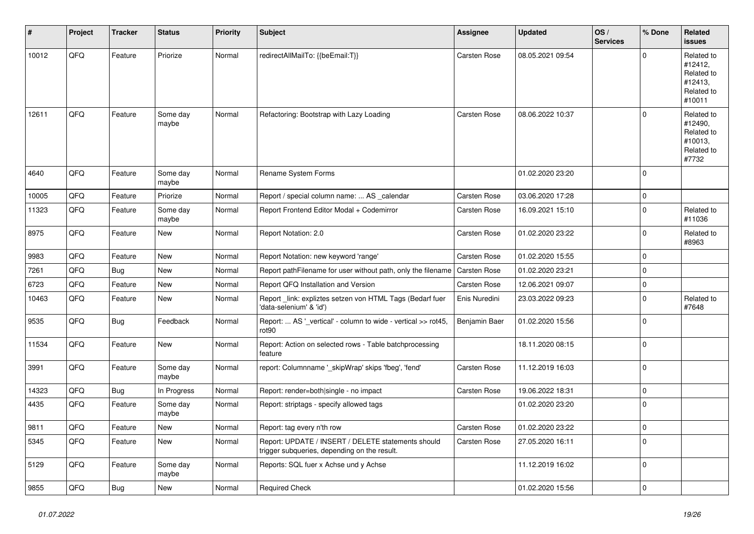| #     | Project | <b>Tracker</b> | <b>Status</b>     | <b>Priority</b> | Subject                                                                                            | <b>Assignee</b> | <b>Updated</b>   | OS/<br><b>Services</b> | % Done      | Related<br>issues                                                      |
|-------|---------|----------------|-------------------|-----------------|----------------------------------------------------------------------------------------------------|-----------------|------------------|------------------------|-------------|------------------------------------------------------------------------|
| 10012 | QFQ     | Feature        | Priorize          | Normal          | redirectAllMailTo: {{beEmail:T}}                                                                   | Carsten Rose    | 08.05.2021 09:54 |                        | $\Omega$    | Related to<br>#12412,<br>Related to<br>#12413,<br>Related to<br>#10011 |
| 12611 | QFQ     | Feature        | Some day<br>maybe | Normal          | Refactoring: Bootstrap with Lazy Loading                                                           | Carsten Rose    | 08.06.2022 10:37 |                        | 0           | Related to<br>#12490,<br>Related to<br>#10013,<br>Related to<br>#7732  |
| 4640  | QFQ     | Feature        | Some day<br>maybe | Normal          | Rename System Forms                                                                                |                 | 01.02.2020 23:20 |                        | $\mathbf 0$ |                                                                        |
| 10005 | QFQ     | Feature        | Priorize          | Normal          | Report / special column name:  AS _calendar                                                        | Carsten Rose    | 03.06.2020 17:28 |                        | 0           |                                                                        |
| 11323 | QFQ     | Feature        | Some day<br>maybe | Normal          | Report Frontend Editor Modal + Codemirror                                                          | Carsten Rose    | 16.09.2021 15:10 |                        | $\mathbf 0$ | Related to<br>#11036                                                   |
| 8975  | QFQ     | Feature        | <b>New</b>        | Normal          | Report Notation: 2.0                                                                               | Carsten Rose    | 01.02.2020 23:22 |                        | $\mathbf 0$ | Related to<br>#8963                                                    |
| 9983  | QFQ     | Feature        | <b>New</b>        | Normal          | Report Notation: new keyword 'range'                                                               | Carsten Rose    | 01.02.2020 15:55 |                        | $\mathbf 0$ |                                                                        |
| 7261  | QFQ     | Bug            | <b>New</b>        | Normal          | Report pathFilename for user without path, only the filename                                       | Carsten Rose    | 01.02.2020 23:21 |                        | $\mathbf 0$ |                                                                        |
| 6723  | QFQ     | Feature        | <b>New</b>        | Normal          | Report QFQ Installation and Version                                                                | Carsten Rose    | 12.06.2021 09:07 |                        | 0           |                                                                        |
| 10463 | QFQ     | Feature        | New               | Normal          | Report_link: expliztes setzen von HTML Tags (Bedarf fuer<br>'data-selenium' & 'id')                | Enis Nuredini   | 23.03.2022 09:23 |                        | $\Omega$    | Related to<br>#7648                                                    |
| 9535  | QFQ     | Bug            | Feedback          | Normal          | Report:  AS '_vertical' - column to wide - vertical >> rot45,<br>rot90                             | Benjamin Baer   | 01.02.2020 15:56 |                        | $\mathbf 0$ |                                                                        |
| 11534 | QFQ     | Feature        | <b>New</b>        | Normal          | Report: Action on selected rows - Table batchprocessing<br>feature                                 |                 | 18.11.2020 08:15 |                        | 0           |                                                                        |
| 3991  | QFQ     | Feature        | Some day<br>maybe | Normal          | report: Columnname '_skipWrap' skips 'fbeg', 'fend'                                                | Carsten Rose    | 11.12.2019 16:03 |                        | 0           |                                                                        |
| 14323 | QFQ     | <b>Bug</b>     | In Progress       | Normal          | Report: render=both single - no impact                                                             | Carsten Rose    | 19.06.2022 18:31 |                        | $\mathbf 0$ |                                                                        |
| 4435  | QFQ     | Feature        | Some day<br>maybe | Normal          | Report: striptags - specify allowed tags                                                           |                 | 01.02.2020 23:20 |                        | $\mathbf 0$ |                                                                        |
| 9811  | QFG     | Feature        | New               | Normal          | Report: tag every n'th row                                                                         | Carsten Rose    | 01.02.2020 23:22 |                        | 0           |                                                                        |
| 5345  | QFQ     | Feature        | New               | Normal          | Report: UPDATE / INSERT / DELETE statements should<br>trigger subqueries, depending on the result. | Carsten Rose    | 27.05.2020 16:11 |                        | 0           |                                                                        |
| 5129  | QFQ     | Feature        | Some day<br>maybe | Normal          | Reports: SQL fuer x Achse und y Achse                                                              |                 | 11.12.2019 16:02 |                        | 0           |                                                                        |
| 9855  | QFQ     | <b>Bug</b>     | New               | Normal          | <b>Required Check</b>                                                                              |                 | 01.02.2020 15:56 |                        | 0           |                                                                        |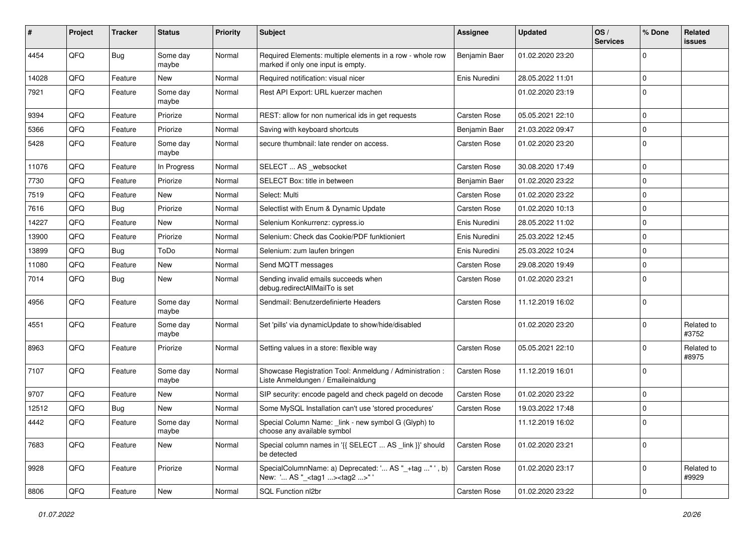| #     | Project | <b>Tracker</b> | <b>Status</b>     | <b>Priority</b> | <b>Subject</b>                                                                                     | Assignee      | <b>Updated</b>   | OS/<br><b>Services</b> | % Done      | Related<br>issues   |
|-------|---------|----------------|-------------------|-----------------|----------------------------------------------------------------------------------------------------|---------------|------------------|------------------------|-------------|---------------------|
| 4454  | QFQ     | <b>Bug</b>     | Some day<br>maybe | Normal          | Required Elements: multiple elements in a row - whole row<br>marked if only one input is empty.    | Benjamin Baer | 01.02.2020 23:20 |                        | $\Omega$    |                     |
| 14028 | QFQ     | Feature        | New               | Normal          | Required notification: visual nicer                                                                | Enis Nuredini | 28.05.2022 11:01 |                        | 0           |                     |
| 7921  | QFQ     | Feature        | Some day<br>maybe | Normal          | Rest API Export: URL kuerzer machen                                                                |               | 01.02.2020 23:19 |                        | $\Omega$    |                     |
| 9394  | QFQ     | Feature        | Priorize          | Normal          | REST: allow for non numerical ids in get requests                                                  | Carsten Rose  | 05.05.2021 22:10 |                        | $\Omega$    |                     |
| 5366  | QFQ     | Feature        | Priorize          | Normal          | Saving with keyboard shortcuts                                                                     | Benjamin Baer | 21.03.2022 09:47 |                        | $\mathbf 0$ |                     |
| 5428  | QFQ     | Feature        | Some day<br>maybe | Normal          | secure thumbnail: late render on access.                                                           | Carsten Rose  | 01.02.2020 23:20 |                        | $\Omega$    |                     |
| 11076 | QFQ     | Feature        | In Progress       | Normal          | SELECT  AS_websocket                                                                               | Carsten Rose  | 30.08.2020 17:49 |                        | $\mathbf 0$ |                     |
| 7730  | QFQ     | Feature        | Priorize          | Normal          | SELECT Box: title in between                                                                       | Benjamin Baer | 01.02.2020 23:22 |                        | $\mathbf 0$ |                     |
| 7519  | QFQ     | Feature        | New               | Normal          | Select: Multi                                                                                      | Carsten Rose  | 01.02.2020 23:22 |                        | 0           |                     |
| 7616  | QFQ     | Bug            | Priorize          | Normal          | Selectlist with Enum & Dynamic Update                                                              | Carsten Rose  | 01.02.2020 10:13 |                        | 0           |                     |
| 14227 | QFQ     | Feature        | New               | Normal          | Selenium Konkurrenz: cypress.io                                                                    | Enis Nuredini | 28.05.2022 11:02 |                        | $\Omega$    |                     |
| 13900 | QFQ     | Feature        | Priorize          | Normal          | Selenium: Check das Cookie/PDF funktioniert                                                        | Enis Nuredini | 25.03.2022 12:45 |                        | $\mathbf 0$ |                     |
| 13899 | QFQ     | <b>Bug</b>     | ToDo              | Normal          | Selenium: zum laufen bringen                                                                       | Enis Nuredini | 25.03.2022 10:24 |                        | 0           |                     |
| 11080 | QFQ     | Feature        | New               | Normal          | Send MQTT messages                                                                                 | Carsten Rose  | 29.08.2020 19:49 |                        | 0           |                     |
| 7014  | QFQ     | Bug            | New               | Normal          | Sending invalid emails succeeds when<br>debug.redirectAllMailTo is set                             | Carsten Rose  | 01.02.2020 23:21 |                        | $\Omega$    |                     |
| 4956  | QFQ     | Feature        | Some day<br>maybe | Normal          | Sendmail: Benutzerdefinierte Headers                                                               | Carsten Rose  | 11.12.2019 16:02 |                        | $\mathbf 0$ |                     |
| 4551  | QFQ     | Feature        | Some day<br>maybe | Normal          | Set 'pills' via dynamicUpdate to show/hide/disabled                                                |               | 01.02.2020 23:20 |                        | $\mathbf 0$ | Related to<br>#3752 |
| 8963  | QFQ     | Feature        | Priorize          | Normal          | Setting values in a store: flexible way                                                            | Carsten Rose  | 05.05.2021 22:10 |                        | $\Omega$    | Related to<br>#8975 |
| 7107  | QFQ     | Feature        | Some day<br>maybe | Normal          | Showcase Registration Tool: Anmeldung / Administration :<br>Liste Anmeldungen / Emaileinaldung     | Carsten Rose  | 11.12.2019 16:01 |                        | $\Omega$    |                     |
| 9707  | QFQ     | Feature        | New               | Normal          | SIP security: encode pageld and check pageld on decode                                             | Carsten Rose  | 01.02.2020 23:22 |                        | 0           |                     |
| 12512 | QFQ     | Bug            | New               | Normal          | Some MySQL Installation can't use 'stored procedures'                                              | Carsten Rose  | 19.03.2022 17:48 |                        | 0           |                     |
| 4442  | QFQ     | Feature        | Some day<br>maybe | Normal          | Special Column Name: _link - new symbol G (Glyph) to<br>choose any available symbol                |               | 11.12.2019 16:02 |                        | 0           |                     |
| 7683  | QFQ     | Feature        | New               | Normal          | Special column names in '{{ SELECT  AS _link }}' should<br>be detected                             | Carsten Rose  | 01.02.2020 23:21 |                        | $\Omega$    |                     |
| 9928  | QFQ     | Feature        | Priorize          | Normal          | SpecialColumnName: a) Deprecated: ' AS "_+tag " ', b)<br>New: ' AS "_ <tag1><tag2>"'</tag2></tag1> | Carsten Rose  | 01.02.2020 23:17 |                        | $\mathbf 0$ | Related to<br>#9929 |
| 8806  | QFG     | Feature        | New               | Normal          | SQL Function nl2br                                                                                 | Carsten Rose  | 01.02.2020 23:22 |                        | $\mathbf 0$ |                     |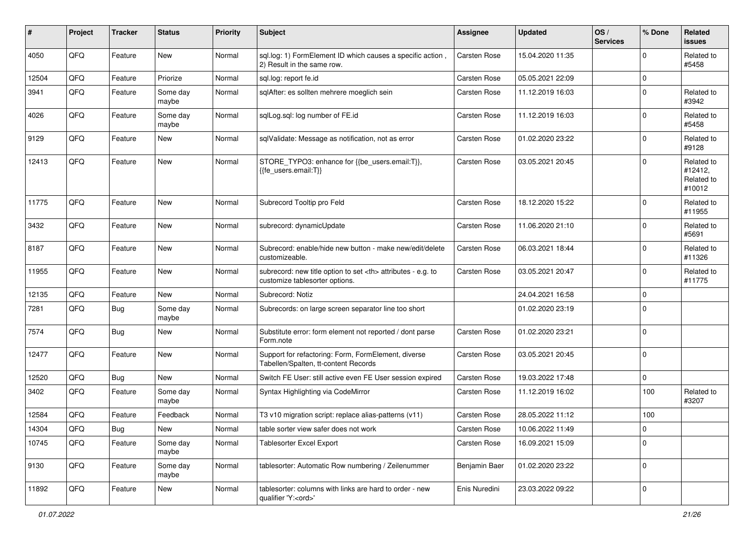| #     | Project | <b>Tracker</b> | <b>Status</b>     | <b>Priority</b> | Subject                                                                                              | <b>Assignee</b>                                        | <b>Updated</b>   | OS/<br><b>Services</b> | % Done      | Related<br><b>issues</b>                      |                      |
|-------|---------|----------------|-------------------|-----------------|------------------------------------------------------------------------------------------------------|--------------------------------------------------------|------------------|------------------------|-------------|-----------------------------------------------|----------------------|
| 4050  | QFQ     | Feature        | <b>New</b>        | Normal          | sql.log: 1) FormElement ID which causes a specific action,<br>2) Result in the same row.             | Carsten Rose                                           | 15.04.2020 11:35 |                        | $\Omega$    | Related to<br>#5458                           |                      |
| 12504 | QFQ     | Feature        | Priorize          | Normal          | sql.log: report fe.id                                                                                | Carsten Rose                                           | 05.05.2021 22:09 |                        | 0           |                                               |                      |
| 3941  | QFQ     | Feature        | Some day<br>maybe | Normal          | sqlAfter: es sollten mehrere moeglich sein                                                           | Carsten Rose                                           | 11.12.2019 16:03 |                        | $\mathbf 0$ | Related to<br>#3942                           |                      |
| 4026  | QFQ     | Feature        | Some day<br>maybe | Normal          | sqlLog.sql: log number of FE.id                                                                      | Carsten Rose                                           | 11.12.2019 16:03 |                        | $\mathbf 0$ | Related to<br>#5458                           |                      |
| 9129  | QFQ     | Feature        | <b>New</b>        | Normal          | sqlValidate: Message as notification, not as error                                                   | Carsten Rose                                           | 01.02.2020 23:22 |                        | $\mathbf 0$ | Related to<br>#9128                           |                      |
| 12413 | QFQ     | Feature        | <b>New</b>        | Normal          | STORE_TYPO3: enhance for {{be_users.email:T}},<br>{{fe users.email:T}}                               | Carsten Rose                                           | 03.05.2021 20:45 |                        | $\Omega$    | Related to<br>#12412,<br>Related to<br>#10012 |                      |
| 11775 | QFQ     | Feature        | New               | Normal          | Subrecord Tooltip pro Feld                                                                           | <b>Carsten Rose</b>                                    | 18.12.2020 15:22 |                        | $\Omega$    | Related to<br>#11955                          |                      |
| 3432  | QFQ     | Feature        | <b>New</b>        | Normal          | subrecord: dynamicUpdate                                                                             | Carsten Rose                                           | 11.06.2020 21:10 |                        | $\Omega$    | Related to<br>#5691                           |                      |
| 8187  | QFQ     | Feature        | <b>New</b>        | Normal          | Subrecord: enable/hide new button - make new/edit/delete<br>customizeable.                           | Carsten Rose                                           | 06.03.2021 18:44 |                        | $\mathbf 0$ | Related to<br>#11326                          |                      |
| 11955 | QFQ     | Feature        | <b>New</b>        | Normal          | subrecord: new title option to set <th> attributes - e.g. to<br/>customize tablesorter options.</th> | attributes - e.g. to<br>customize tablesorter options. | Carsten Rose     | 03.05.2021 20:47       |             | $\mathbf 0$                                   | Related to<br>#11775 |
| 12135 | QFQ     | Feature        | <b>New</b>        | Normal          | Subrecord: Notiz                                                                                     |                                                        | 24.04.2021 16:58 |                        | $\mathbf 0$ |                                               |                      |
| 7281  | QFQ     | <b>Bug</b>     | Some day<br>maybe | Normal          | Subrecords: on large screen separator line too short                                                 |                                                        | 01.02.2020 23:19 |                        | $\Omega$    |                                               |                      |
| 7574  | QFQ     | Bug            | <b>New</b>        | Normal          | Substitute error: form element not reported / dont parse<br>Form.note                                | Carsten Rose                                           | 01.02.2020 23:21 |                        | $\mathbf 0$ |                                               |                      |
| 12477 | QFQ     | Feature        | <b>New</b>        | Normal          | Support for refactoring: Form, FormElement, diverse<br>Tabellen/Spalten, tt-content Records          | Carsten Rose                                           | 03.05.2021 20:45 |                        | $\mathbf 0$ |                                               |                      |
| 12520 | QFQ     | Bug            | <b>New</b>        | Normal          | Switch FE User: still active even FE User session expired                                            | Carsten Rose                                           | 19.03.2022 17:48 |                        | $\mathbf 0$ |                                               |                      |
| 3402  | QFQ     | Feature        | Some day<br>maybe | Normal          | Syntax Highlighting via CodeMirror                                                                   | Carsten Rose                                           | 11.12.2019 16:02 |                        | 100         | Related to<br>#3207                           |                      |
| 12584 | QFQ     | Feature        | Feedback          | Normal          | T3 v10 migration script: replace alias-patterns (v11)                                                | Carsten Rose                                           | 28.05.2022 11:12 |                        | 100         |                                               |                      |
| 14304 | QFG     | <b>Bug</b>     | New               | Normal          | table sorter view safer does not work                                                                | Carsten Rose                                           | 10.06.2022 11:49 |                        | $\pmb{0}$   |                                               |                      |
| 10745 | QFQ     | Feature        | Some day<br>maybe | Normal          | Tablesorter Excel Export                                                                             | Carsten Rose                                           | 16.09.2021 15:09 |                        | $\mathbf 0$ |                                               |                      |
| 9130  | QFQ     | Feature        | Some day<br>maybe | Normal          | tablesorter: Automatic Row numbering / Zeilenummer                                                   | Benjamin Baer                                          | 01.02.2020 23:22 |                        | $\mathbf 0$ |                                               |                      |
| 11892 | QFQ     | Feature        | New               | Normal          | tablesorter: columns with links are hard to order - new<br>qualifier 'Y: <ord>'</ord>                | Enis Nuredini                                          | 23.03.2022 09:22 |                        | 0           |                                               |                      |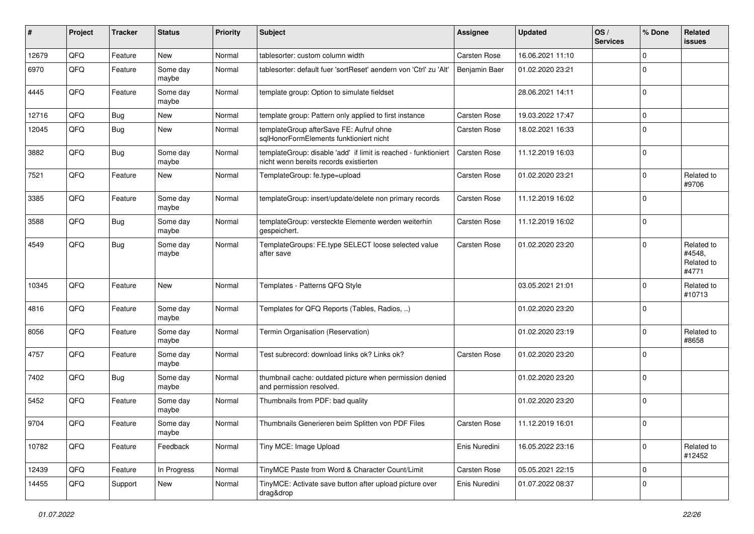| #     | Project | <b>Tracker</b> | <b>Status</b>     | <b>Priority</b> | Subject                                                                                                   | Assignee            | <b>Updated</b>   | OS/<br><b>Services</b> | % Done      | Related<br>issues                           |
|-------|---------|----------------|-------------------|-----------------|-----------------------------------------------------------------------------------------------------------|---------------------|------------------|------------------------|-------------|---------------------------------------------|
| 12679 | QFQ     | Feature        | <b>New</b>        | Normal          | tablesorter: custom column width                                                                          | Carsten Rose        | 16.06.2021 11:10 |                        | $\Omega$    |                                             |
| 6970  | QFQ     | Feature        | Some day<br>maybe | Normal          | tablesorter: default fuer 'sortReset' aendern von 'Ctrl' zu 'Alt'                                         | Benjamin Baer       | 01.02.2020 23:21 |                        | $\Omega$    |                                             |
| 4445  | QFQ     | Feature        | Some day<br>maybe | Normal          | template group: Option to simulate fieldset                                                               |                     | 28.06.2021 14:11 |                        | $\mathbf 0$ |                                             |
| 12716 | QFQ     | <b>Bug</b>     | <b>New</b>        | Normal          | template group: Pattern only applied to first instance                                                    | Carsten Rose        | 19.03.2022 17:47 |                        | $\mathbf 0$ |                                             |
| 12045 | QFQ     | Bug            | New               | Normal          | templateGroup afterSave FE: Aufruf ohne<br>sqlHonorFormElements funktioniert nicht                        | Carsten Rose        | 18.02.2021 16:33 |                        | $\mathbf 0$ |                                             |
| 3882  | QFQ     | <b>Bug</b>     | Some day<br>maybe | Normal          | templateGroup: disable 'add' if limit is reached - funktioniert<br>nicht wenn bereits records existierten | Carsten Rose        | 11.12.2019 16:03 |                        | $\mathbf 0$ |                                             |
| 7521  | QFQ     | Feature        | New               | Normal          | TemplateGroup: fe.type=upload                                                                             | Carsten Rose        | 01.02.2020 23:21 |                        | $\Omega$    | Related to<br>#9706                         |
| 3385  | QFQ     | Feature        | Some day<br>maybe | Normal          | templateGroup: insert/update/delete non primary records                                                   | Carsten Rose        | 11.12.2019 16:02 |                        | $\Omega$    |                                             |
| 3588  | QFQ     | Bug            | Some day<br>maybe | Normal          | templateGroup: versteckte Elemente werden weiterhin<br>gespeichert.                                       | <b>Carsten Rose</b> | 11.12.2019 16:02 |                        | $\Omega$    |                                             |
| 4549  | QFQ     | Bug            | Some day<br>maybe | Normal          | TemplateGroups: FE.type SELECT loose selected value<br>after save                                         | Carsten Rose        | 01.02.2020 23:20 |                        | $\Omega$    | Related to<br>#4548,<br>Related to<br>#4771 |
| 10345 | QFQ     | Feature        | New               | Normal          | Templates - Patterns QFQ Style                                                                            |                     | 03.05.2021 21:01 |                        | $\mathbf 0$ | Related to<br>#10713                        |
| 4816  | QFQ     | Feature        | Some day<br>maybe | Normal          | Templates for QFQ Reports (Tables, Radios, )                                                              |                     | 01.02.2020 23:20 |                        | $\Omega$    |                                             |
| 8056  | QFQ     | Feature        | Some day<br>maybe | Normal          | Termin Organisation (Reservation)                                                                         |                     | 01.02.2020 23:19 |                        | $\Omega$    | Related to<br>#8658                         |
| 4757  | QFQ     | Feature        | Some day<br>maybe | Normal          | Test subrecord: download links ok? Links ok?                                                              | Carsten Rose        | 01.02.2020 23:20 |                        | $\Omega$    |                                             |
| 7402  | QFQ     | Bug            | Some day<br>maybe | Normal          | thumbnail cache: outdated picture when permission denied<br>and permission resolved.                      |                     | 01.02.2020 23:20 |                        | $\mathbf 0$ |                                             |
| 5452  | QFQ     | Feature        | Some day<br>maybe | Normal          | Thumbnails from PDF: bad quality                                                                          |                     | 01.02.2020 23:20 |                        | $\mathbf 0$ |                                             |
| 9704  | QFQ     | Feature        | Some day<br>maybe | Normal          | Thumbnails Generieren beim Splitten von PDF Files                                                         | Carsten Rose        | 11.12.2019 16:01 |                        | $\Omega$    |                                             |
| 10782 | QFQ     | Feature        | Feedback          | Normal          | Tiny MCE: Image Upload                                                                                    | Enis Nuredini       | 16.05.2022 23:16 |                        | $\Omega$    | Related to<br>#12452                        |
| 12439 | QFQ     | Feature        | In Progress       | Normal          | TinyMCE Paste from Word & Character Count/Limit                                                           | Carsten Rose        | 05.05.2021 22:15 |                        | $\mathbf 0$ |                                             |
| 14455 | QFQ     | Support        | New               | Normal          | TinyMCE: Activate save button after upload picture over<br>drag&drop                                      | Enis Nuredini       | 01.07.2022 08:37 |                        | $\Omega$    |                                             |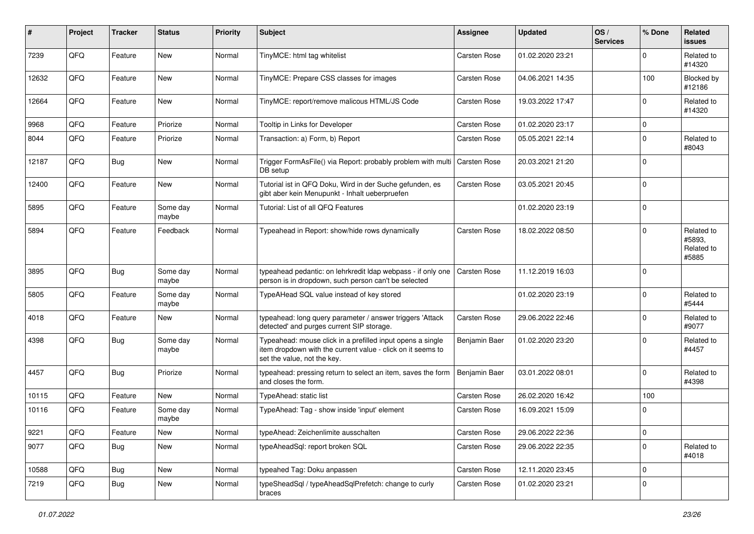| $\sharp$ | Project | <b>Tracker</b> | <b>Status</b>     | <b>Priority</b> | <b>Subject</b>                                                                                                                                           | <b>Assignee</b>     | <b>Updated</b>   | OS/<br><b>Services</b> | % Done      | Related<br><b>issues</b>                    |
|----------|---------|----------------|-------------------|-----------------|----------------------------------------------------------------------------------------------------------------------------------------------------------|---------------------|------------------|------------------------|-------------|---------------------------------------------|
| 7239     | QFQ     | Feature        | <b>New</b>        | Normal          | TinyMCE: html tag whitelist                                                                                                                              | Carsten Rose        | 01.02.2020 23:21 |                        | $\Omega$    | Related to<br>#14320                        |
| 12632    | QFQ     | Feature        | New               | Normal          | TinyMCE: Prepare CSS classes for images                                                                                                                  | Carsten Rose        | 04.06.2021 14:35 |                        | 100         | Blocked by<br>#12186                        |
| 12664    | QFQ     | Feature        | <b>New</b>        | Normal          | TinyMCE: report/remove malicous HTML/JS Code                                                                                                             | Carsten Rose        | 19.03.2022 17:47 |                        | $\Omega$    | Related to<br>#14320                        |
| 9968     | QFQ     | Feature        | Priorize          | Normal          | Tooltip in Links for Developer                                                                                                                           | Carsten Rose        | 01.02.2020 23:17 |                        | 0           |                                             |
| 8044     | QFQ     | Feature        | Priorize          | Normal          | Transaction: a) Form, b) Report                                                                                                                          | Carsten Rose        | 05.05.2021 22:14 |                        | $\mathbf 0$ | Related to<br>#8043                         |
| 12187    | QFQ     | Bug            | New               | Normal          | Trigger FormAsFile() via Report: probably problem with multi<br>DB setup                                                                                 | <b>Carsten Rose</b> | 20.03.2021 21:20 |                        | $\mathbf 0$ |                                             |
| 12400    | QFQ     | Feature        | <b>New</b>        | Normal          | Tutorial ist in QFQ Doku, Wird in der Suche gefunden, es<br>gibt aber kein Menupunkt - Inhalt ueberpruefen                                               | Carsten Rose        | 03.05.2021 20:45 |                        | $\mathbf 0$ |                                             |
| 5895     | QFQ     | Feature        | Some day<br>maybe | Normal          | Tutorial: List of all QFQ Features                                                                                                                       |                     | 01.02.2020 23:19 |                        | 0           |                                             |
| 5894     | QFQ     | Feature        | Feedback          | Normal          | Typeahead in Report: show/hide rows dynamically                                                                                                          | Carsten Rose        | 18.02.2022 08:50 |                        | $\Omega$    | Related to<br>#5893,<br>Related to<br>#5885 |
| 3895     | QFQ     | <b>Bug</b>     | Some day<br>maybe | Normal          | typeahead pedantic: on lehrkredit Idap webpass - if only one<br>person is in dropdown, such person can't be selected                                     | Carsten Rose        | 11.12.2019 16:03 |                        | 0           |                                             |
| 5805     | QFQ     | Feature        | Some day<br>maybe | Normal          | TypeAHead SQL value instead of key stored                                                                                                                |                     | 01.02.2020 23:19 |                        | $\Omega$    | Related to<br>#5444                         |
| 4018     | QFQ     | Feature        | New               | Normal          | typeahead: long query parameter / answer triggers 'Attack<br>detected' and purges current SIP storage.                                                   | Carsten Rose        | 29.06.2022 22:46 |                        | $\Omega$    | Related to<br>#9077                         |
| 4398     | QFQ     | Bug            | Some day<br>maybe | Normal          | Typeahead: mouse click in a prefilled input opens a single<br>item dropdown with the current value - click on it seems to<br>set the value, not the key. | Benjamin Baer       | 01.02.2020 23:20 |                        | $\mathbf 0$ | Related to<br>#4457                         |
| 4457     | QFQ     | <b>Bug</b>     | Priorize          | Normal          | typeahead: pressing return to select an item, saves the form<br>and closes the form.                                                                     | Benjamin Baer       | 03.01.2022 08:01 |                        | $\mathbf 0$ | Related to<br>#4398                         |
| 10115    | QFQ     | Feature        | New               | Normal          | TypeAhead: static list                                                                                                                                   | Carsten Rose        | 26.02.2020 16:42 |                        | 100         |                                             |
| 10116    | QFQ     | Feature        | Some day<br>maybe | Normal          | TypeAhead: Tag - show inside 'input' element                                                                                                             | Carsten Rose        | 16.09.2021 15:09 |                        | $\Omega$    |                                             |
| 9221     | QFQ     | Feature        | New               | Normal          | typeAhead: Zeichenlimite ausschalten                                                                                                                     | Carsten Rose        | 29.06.2022 22:36 |                        | $\vert$ 0   |                                             |
| 9077     | QFQ     | <b>Bug</b>     | New               | Normal          | typeAheadSql: report broken SQL                                                                                                                          | Carsten Rose        | 29.06.2022 22:35 |                        | 0           | Related to<br>#4018                         |
| 10588    | QFQ     | <b>Bug</b>     | New               | Normal          | typeahed Tag: Doku anpassen                                                                                                                              | Carsten Rose        | 12.11.2020 23:45 |                        | 0           |                                             |
| 7219     | QFQ     | <b>Bug</b>     | New               | Normal          | typeSheadSql / typeAheadSqlPrefetch: change to curly<br>braces                                                                                           | Carsten Rose        | 01.02.2020 23:21 |                        | 0           |                                             |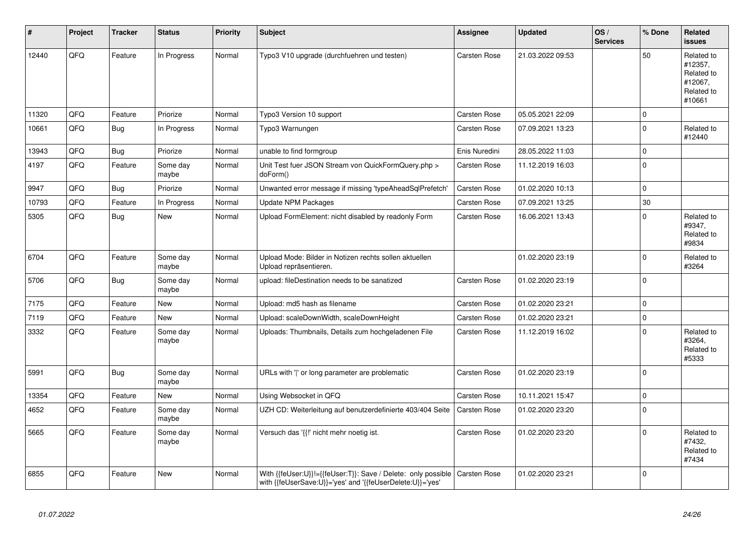| ∦     | Project | <b>Tracker</b> | <b>Status</b>     | <b>Priority</b> | <b>Subject</b>                                                                                                             | Assignee            | <b>Updated</b>   | OS/<br><b>Services</b> | % Done      | Related<br><b>issues</b>                                               |
|-------|---------|----------------|-------------------|-----------------|----------------------------------------------------------------------------------------------------------------------------|---------------------|------------------|------------------------|-------------|------------------------------------------------------------------------|
| 12440 | QFQ     | Feature        | In Progress       | Normal          | Typo3 V10 upgrade (durchfuehren und testen)                                                                                | <b>Carsten Rose</b> | 21.03.2022 09:53 |                        | 50          | Related to<br>#12357,<br>Related to<br>#12067,<br>Related to<br>#10661 |
| 11320 | QFQ     | Feature        | Priorize          | Normal          | Typo3 Version 10 support                                                                                                   | <b>Carsten Rose</b> | 05.05.2021 22:09 |                        | $\mathbf 0$ |                                                                        |
| 10661 | QFQ     | Bug            | In Progress       | Normal          | Typo3 Warnungen                                                                                                            | Carsten Rose        | 07.09.2021 13:23 |                        | $\Omega$    | Related to<br>#12440                                                   |
| 13943 | QFQ     | Bug            | Priorize          | Normal          | unable to find formgroup                                                                                                   | Enis Nuredini       | 28.05.2022 11:03 |                        | $\mathbf 0$ |                                                                        |
| 4197  | QFQ     | Feature        | Some day<br>maybe | Normal          | Unit Test fuer JSON Stream von QuickFormQuery.php ><br>doForm()                                                            | Carsten Rose        | 11.12.2019 16:03 |                        | $\Omega$    |                                                                        |
| 9947  | QFQ     | Bug            | Priorize          | Normal          | Unwanted error message if missing 'typeAheadSqlPrefetch'                                                                   | Carsten Rose        | 01.02.2020 10:13 |                        | $\mathbf 0$ |                                                                        |
| 10793 | QFQ     | Feature        | In Progress       | Normal          | <b>Update NPM Packages</b>                                                                                                 | Carsten Rose        | 07.09.2021 13:25 |                        | 30          |                                                                        |
| 5305  | QFQ     | <b>Bug</b>     | <b>New</b>        | Normal          | Upload FormElement: nicht disabled by readonly Form                                                                        | Carsten Rose        | 16.06.2021 13:43 |                        | $\Omega$    | Related to<br>#9347,<br>Related to<br>#9834                            |
| 6704  | QFQ     | Feature        | Some day<br>maybe | Normal          | Upload Mode: Bilder in Notizen rechts sollen aktuellen<br>Upload repräsentieren.                                           |                     | 01.02.2020 23:19 |                        | $\mathbf 0$ | Related to<br>#3264                                                    |
| 5706  | QFQ     | Bug            | Some day<br>maybe | Normal          | upload: fileDestination needs to be sanatized                                                                              | Carsten Rose        | 01.02.2020 23:19 |                        | $\Omega$    |                                                                        |
| 7175  | QFQ     | Feature        | <b>New</b>        | Normal          | Upload: md5 hash as filename                                                                                               | Carsten Rose        | 01.02.2020 23:21 |                        | $\mathbf 0$ |                                                                        |
| 7119  | QFQ     | Feature        | <b>New</b>        | Normal          | Upload: scaleDownWidth, scaleDownHeight                                                                                    | Carsten Rose        | 01.02.2020 23:21 |                        | $\mathbf 0$ |                                                                        |
| 3332  | QFQ     | Feature        | Some day<br>maybe | Normal          | Uploads: Thumbnails, Details zum hochgeladenen File                                                                        | Carsten Rose        | 11.12.2019 16:02 |                        | $\Omega$    | Related to<br>#3264,<br>Related to<br>#5333                            |
| 5991  | QFQ     | Bug            | Some day<br>maybe | Normal          | URLs with 'I' or long parameter are problematic                                                                            | Carsten Rose        | 01.02.2020 23:19 |                        | $\mathbf 0$ |                                                                        |
| 13354 | QFQ     | Feature        | <b>New</b>        | Normal          | Using Websocket in QFQ                                                                                                     | Carsten Rose        | 10.11.2021 15:47 |                        | $\pmb{0}$   |                                                                        |
| 4652  | QFQ     | Feature        | Some day<br>maybe | Normal          | UZH CD: Weiterleitung auf benutzerdefinierte 403/404 Seite                                                                 | Carsten Rose        | 01.02.2020 23:20 |                        | $\Omega$    |                                                                        |
| 5665  | QFQ     | Feature        | Some day<br>maybe | Normal          | Versuch das '{{!' nicht mehr noetig ist.                                                                                   | Carsten Rose        | 01.02.2020 23:20 |                        | $\mathbf 0$ | Related to<br>#7432,<br>Related to<br>#7434                            |
| 6855  | QFQ     | Feature        | <b>New</b>        | Normal          | With {{feUser:U}}!={{feUser:T}}: Save / Delete: only possible<br>with {{feUserSave:U}}='yes' and '{{feUserDelete:U}}='yes' | <b>Carsten Rose</b> | 01.02.2020 23:21 |                        | $\Omega$    |                                                                        |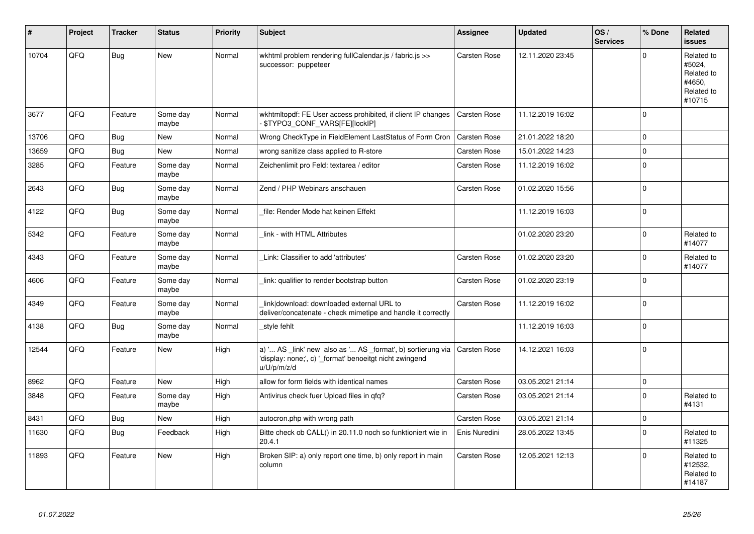| ∦     | Project | <b>Tracker</b> | <b>Status</b>     | <b>Priority</b> | <b>Subject</b>                                                                                                                        | Assignee            | <b>Updated</b>   | OS/<br><b>Services</b> | % Done         | Related<br>issues                                                    |
|-------|---------|----------------|-------------------|-----------------|---------------------------------------------------------------------------------------------------------------------------------------|---------------------|------------------|------------------------|----------------|----------------------------------------------------------------------|
| 10704 | QFQ     | <b>Bug</b>     | <b>New</b>        | Normal          | wkhtml problem rendering fullCalendar.js / fabric.js >><br>successor: puppeteer                                                       | Carsten Rose        | 12.11.2020 23:45 |                        | $\Omega$       | Related to<br>#5024,<br>Related to<br>#4650,<br>Related to<br>#10715 |
| 3677  | QFQ     | Feature        | Some day<br>maybe | Normal          | wkhtmitopdf: FE User access prohibited, if client IP changes<br>- \$TYPO3_CONF_VARS[FE][lockIP]                                       | Carsten Rose        | 11.12.2019 16:02 |                        | $\mathbf 0$    |                                                                      |
| 13706 | QFQ     | Bug            | <b>New</b>        | Normal          | Wrong CheckType in FieldElement LastStatus of Form Cron                                                                               | Carsten Rose        | 21.01.2022 18:20 |                        | $\mathbf 0$    |                                                                      |
| 13659 | QFQ     | Bug            | <b>New</b>        | Normal          | wrong sanitize class applied to R-store                                                                                               | <b>Carsten Rose</b> | 15.01.2022 14:23 |                        | $\Omega$       |                                                                      |
| 3285  | QFQ     | Feature        | Some day<br>maybe | Normal          | Zeichenlimit pro Feld: textarea / editor                                                                                              | <b>Carsten Rose</b> | 11.12.2019 16:02 |                        | $\Omega$       |                                                                      |
| 2643  | QFQ     | Bug            | Some day<br>maybe | Normal          | Zend / PHP Webinars anschauen                                                                                                         | <b>Carsten Rose</b> | 01.02.2020 15:56 |                        | $\Omega$       |                                                                      |
| 4122  | QFQ     | <b>Bug</b>     | Some day<br>maybe | Normal          | file: Render Mode hat keinen Effekt                                                                                                   |                     | 11.12.2019 16:03 |                        | $\Omega$       |                                                                      |
| 5342  | QFQ     | Feature        | Some day<br>maybe | Normal          | link - with HTML Attributes                                                                                                           |                     | 01.02.2020 23:20 |                        | $\Omega$       | Related to<br>#14077                                                 |
| 4343  | QFQ     | Feature        | Some day<br>maybe | Normal          | Link: Classifier to add 'attributes'                                                                                                  | Carsten Rose        | 01.02.2020 23:20 |                        | $\Omega$       | Related to<br>#14077                                                 |
| 4606  | QFQ     | Feature        | Some day<br>maybe | Normal          | link: qualifier to render bootstrap button                                                                                            | <b>Carsten Rose</b> | 01.02.2020 23:19 |                        | $\Omega$       |                                                                      |
| 4349  | QFQ     | Feature        | Some day<br>maybe | Normal          | link download: downloaded external URL to<br>deliver/concatenate - check mimetipe and handle it correctly                             | Carsten Rose        | 11.12.2019 16:02 |                        | $\Omega$       |                                                                      |
| 4138  | QFQ     | Bug            | Some day<br>maybe | Normal          | style fehlt                                                                                                                           |                     | 11.12.2019 16:03 |                        | $\Omega$       |                                                                      |
| 12544 | QFQ     | Feature        | New               | High            | a) ' AS _link' new also as ' AS _format', b) sortierung via<br>'display: none;', c) ' format' benoeitgt nicht zwingend<br>u/U/p/m/z/d | Carsten Rose        | 14.12.2021 16:03 |                        | $\overline{0}$ |                                                                      |
| 8962  | QFQ     | Feature        | <b>New</b>        | High            | allow for form fields with identical names                                                                                            | <b>Carsten Rose</b> | 03.05.2021 21:14 |                        | $\mathbf 0$    |                                                                      |
| 3848  | QFQ     | Feature        | Some day<br>maybe | High            | Antivirus check fuer Upload files in qfq?                                                                                             | Carsten Rose        | 03.05.2021 21:14 |                        | $\mathbf 0$    | Related to<br>#4131                                                  |
| 8431  | QFQ     | Bug            | <b>New</b>        | High            | autocron.php with wrong path                                                                                                          | <b>Carsten Rose</b> | 03.05.2021 21:14 |                        | $\mathbf 0$    |                                                                      |
| 11630 | QFQ     | Bug            | Feedback          | High            | Bitte check ob CALL() in 20.11.0 noch so funktioniert wie in<br>20.4.1                                                                | Enis Nuredini       | 28.05.2022 13:45 |                        | $\Omega$       | Related to<br>#11325                                                 |
| 11893 | QFQ     | Feature        | <b>New</b>        | High            | Broken SIP: a) only report one time, b) only report in main<br>column                                                                 | Carsten Rose        | 12.05.2021 12:13 |                        | $\Omega$       | Related to<br>#12532,<br>Related to<br>#14187                        |